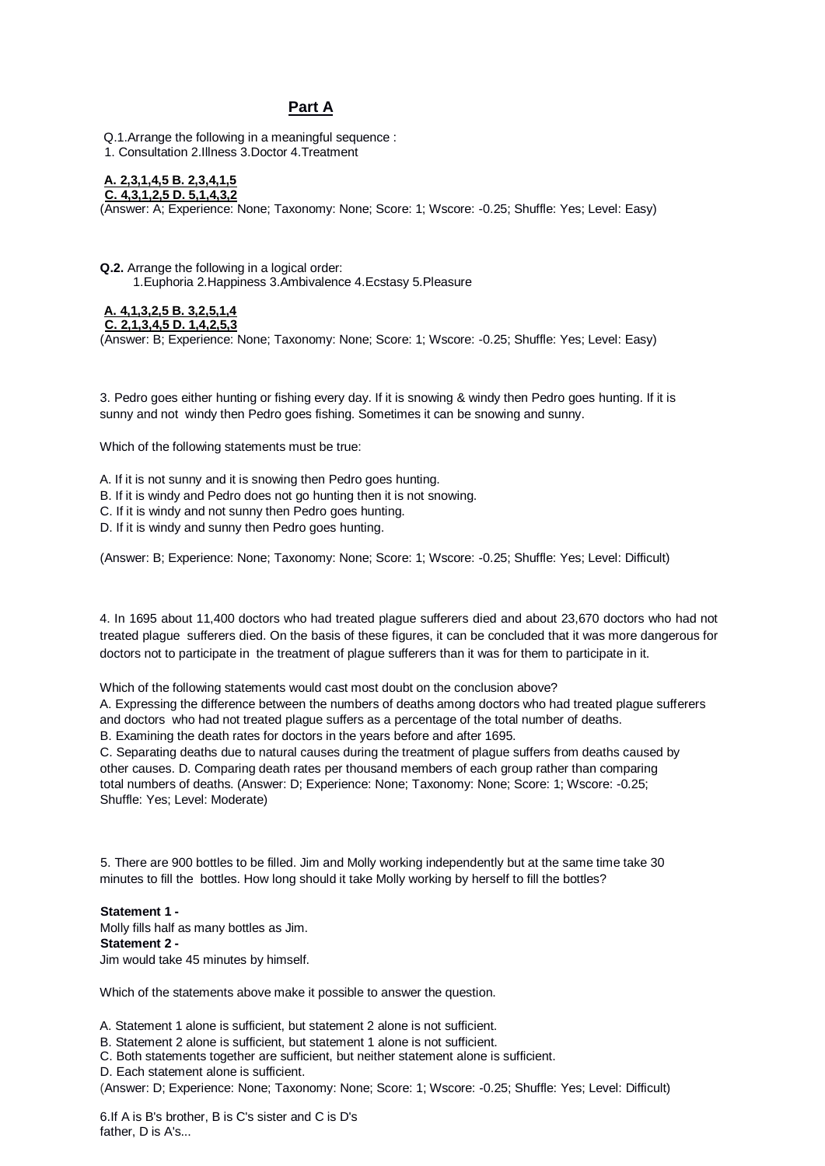## **Part A**

Q.1.Arrange the following in a meaningful sequence :

1. Consultation 2.Illness 3.Doctor 4.Treatment

#### **A. 2,3,1,4,5 B. 2,3,4,1,5 C. 4,3,1,2,5 D. 5,1,4,3,2**

(Answer: A; Experience: None; Taxonomy: None; Score: 1; Wscore: -0.25; Shuffle: Yes; Level: Easy)

**Q.2.** Arrange the following in a logical order: 1.Euphoria 2.Happiness 3.Ambivalence 4.Ecstasy 5.Pleasure

**A. 4,1,3,2,5 B. 3,2,5,1,4 C. 2,1,3,4,5 D. 1,4,2,5,3**

(Answer: B; Experience: None; Taxonomy: None; Score: 1; Wscore: -0.25; Shuffle: Yes; Level: Easy)

3. Pedro goes either hunting or fishing every day. If it is snowing & windy then Pedro goes hunting. If it is sunny and not windy then Pedro goes fishing. Sometimes it can be snowing and sunny.

Which of the following statements must be true:

A. If it is not sunny and it is snowing then Pedro goes hunting.

B. If it is windy and Pedro does not go hunting then it is not snowing.

C. If it is windy and not sunny then Pedro goes hunting.

D. If it is windy and sunny then Pedro goes hunting.

(Answer: B; Experience: None; Taxonomy: None; Score: 1; Wscore: -0.25; Shuffle: Yes; Level: Difficult)

4. In 1695 about 11,400 doctors who had treated plague sufferers died and about 23,670 doctors who had not treated plague sufferers died. On the basis of these figures, it can be concluded that it was more dangerous for doctors not to participate in the treatment of plague sufferers than it was for them to participate in it.

Which of the following statements would cast most doubt on the conclusion above?

A. Expressing the difference between the numbers of deaths among doctors who had treated plague sufferers and doctors who had not treated plague suffers as a percentage of the total number of deaths.

B. Examining the death rates for doctors in the years before and after 1695.

C. Separating deaths due to natural causes during the treatment of plague suffers from deaths caused by other causes. D. Comparing death rates per thousand members of each group rather than comparing total numbers of deaths. (Answer: D; Experience: None; Taxonomy: None; Score: 1; Wscore: -0.25; Shuffle: Yes; Level: Moderate)

5. There are 900 bottles to be filled. Jim and Molly working independently but at the same time take 30 minutes to fill the bottles. How long should it take Molly working by herself to fill the bottles?

**Statement 1 -** Molly fills half as many bottles as Jim. **Statement 2 -** Jim would take 45 minutes by himself.

Which of the statements above make it possible to answer the question.

A. Statement 1 alone is sufficient, but statement 2 alone is not sufficient.

B. Statement 2 alone is sufficient, but statement 1 alone is not sufficient.

C. Both statements together are sufficient, but neither statement alone is sufficient.

D. Each statement alone is sufficient.

(Answer: D; Experience: None; Taxonomy: None; Score: 1; Wscore: -0.25; Shuffle: Yes; Level: Difficult)

6.If A is B's brother, B is C's sister and C is D's father, D is A's...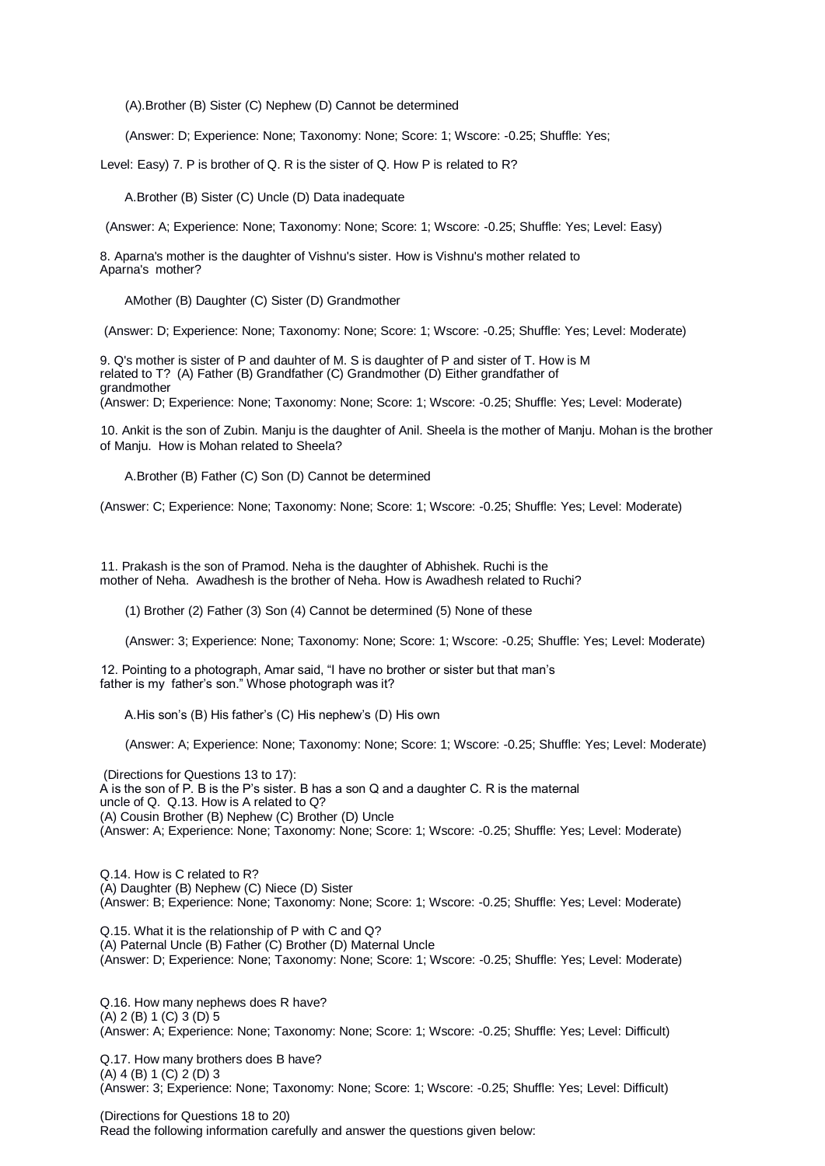(A).Brother (B) Sister (C) Nephew (D) Cannot be determined

(Answer: D; Experience: None; Taxonomy: None; Score: 1; Wscore: -0.25; Shuffle: Yes;

Level: Easy) 7. P is brother of Q. R is the sister of Q. How P is related to R?

A.Brother (B) Sister (C) Uncle (D) Data inadequate

(Answer: A; Experience: None; Taxonomy: None; Score: 1; Wscore: -0.25; Shuffle: Yes; Level: Easy)

8. Aparna's mother is the daughter of Vishnu's sister. How is Vishnu's mother related to Aparna's mother?

AMother (B) Daughter (C) Sister (D) Grandmother

(Answer: D; Experience: None; Taxonomy: None; Score: 1; Wscore: -0.25; Shuffle: Yes; Level: Moderate)

9. Q's mother is sister of P and dauhter of M. S is daughter of P and sister of T. How is M related to T? (A) Father (B) Grandfather (C) Grandmother (D) Either grandfather of grandmother

(Answer: D; Experience: None; Taxonomy: None; Score: 1; Wscore: -0.25; Shuffle: Yes; Level: Moderate)

10. Ankit is the son of Zubin. Manju is the daughter of Anil. Sheela is the mother of Manju. Mohan is the brother of Manju. How is Mohan related to Sheela?

A.Brother (B) Father (C) Son (D) Cannot be determined

(Answer: C; Experience: None; Taxonomy: None; Score: 1; Wscore: -0.25; Shuffle: Yes; Level: Moderate)

11. Prakash is the son of Pramod. Neha is the daughter of Abhishek. Ruchi is the mother of Neha. Awadhesh is the brother of Neha. How is Awadhesh related to Ruchi?

(1) Brother (2) Father (3) Son (4) Cannot be determined (5) None of these

(Answer: 3; Experience: None; Taxonomy: None; Score: 1; Wscore: -0.25; Shuffle: Yes; Level: Moderate)

12. Pointing to a photograph, Amar said, "I have no brother or sister but that man's father is my father's son." Whose photograph was it?

A.His son's (B) His father's (C) His nephew's (D) His own

(Answer: A; Experience: None; Taxonomy: None; Score: 1; Wscore: -0.25; Shuffle: Yes; Level: Moderate)

(Directions for Questions 13 to 17): A is the son of P. B is the P's sister. B has a son Q and a daughter C. R is the maternal uncle of Q. Q.13. How is A related to Q? (A) Cousin Brother (B) Nephew (C) Brother (D) Uncle (Answer: A; Experience: None; Taxonomy: None; Score: 1; Wscore: -0.25; Shuffle: Yes; Level: Moderate)

Q.14. How is C related to R? (A) Daughter (B) Nephew (C) Niece (D) Sister (Answer: B; Experience: None; Taxonomy: None; Score: 1; Wscore: -0.25; Shuffle: Yes; Level: Moderate)

Q.15. What it is the relationship of P with C and Q? (A) Paternal Uncle (B) Father (C) Brother (D) Maternal Uncle (Answer: D; Experience: None; Taxonomy: None; Score: 1; Wscore: -0.25; Shuffle: Yes; Level: Moderate)

Q.16. How many nephews does R have? (A) 2 (B) 1 (C) 3 (D) 5 (Answer: A; Experience: None; Taxonomy: None; Score: 1; Wscore: -0.25; Shuffle: Yes; Level: Difficult)

Q.17. How many brothers does B have? (A) 4 (B) 1 (C) 2 (D) 3 (Answer: 3; Experience: None; Taxonomy: None; Score: 1; Wscore: -0.25; Shuffle: Yes; Level: Difficult)

(Directions for Questions 18 to 20) Read the following information carefully and answer the questions given below: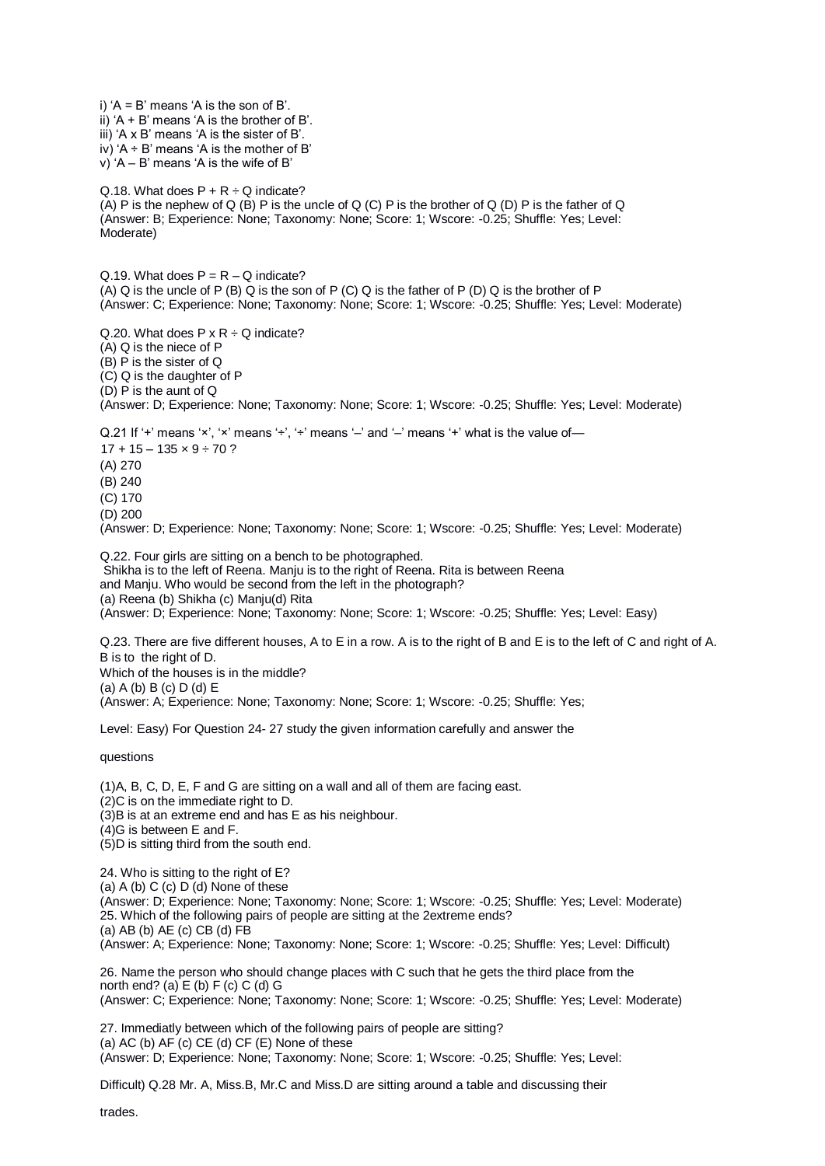i) 'A = B' means 'A is the son of B'. ii)  $'A + B'$  means  $'A$  is the brother of B'. iii) 'A x B' means 'A is the sister of B'. iv) 'A  $\div$  B' means 'A is the mother of B' v) 'A – B' means 'A is the wife of B' Q.18. What does  $P + R \div Q$  indicate? (A) P is the nephew of Q (B) P is the uncle of Q (C) P is the brother of Q (D) P is the father of Q (Answer: B; Experience: None; Taxonomy: None; Score: 1; Wscore: -0.25; Shuffle: Yes; Level: Moderate) Q.19. What does  $P = R - Q$  indicate? (A) Q is the uncle of P (B) Q is the son of P (C) Q is the father of P (D) Q is the brother of P (Answer: C; Experience: None; Taxonomy: None; Score: 1; Wscore: -0.25; Shuffle: Yes; Level: Moderate) Q.20. What does  $P \times R \div Q$  indicate? (A) Q is the niece of P (B) P is the sister of Q (C) Q is the daughter of P (D) P is the aunt of Q (Answer: D; Experience: None; Taxonomy: None; Score: 1; Wscore: -0.25; Shuffle: Yes; Level: Moderate) Q.21 If '+' means 'x', 'x' means '÷', '÷' means '-' and '-' means '+' what is the value of- $17 + 15 - 135 \times 9 \div 70$  ? (A) 270 (B) 240 (C) 170 (D) 200 (Answer: D; Experience: None; Taxonomy: None; Score: 1; Wscore: -0.25; Shuffle: Yes; Level: Moderate) Q.22. Four girls are sitting on a bench to be photographed. Shikha is to the left of Reena. Manju is to the right of Reena. Rita is between Reena and Manju. Who would be second from the left in the photograph? (a) Reena (b) Shikha (c) Manju(d) Rita (Answer: D; Experience: None; Taxonomy: None; Score: 1; Wscore: -0.25; Shuffle: Yes; Level: Easy) Q.23. There are five different houses, A to E in a row. A is to the right of B and E is to the left of C and right of A. B is to the right of D. Which of the houses is in the middle? (a) A (b) B (c) D (d) E (Answer: A; Experience: None; Taxonomy: None; Score: 1; Wscore: -0.25; Shuffle: Yes; Level: Easy) For Question 24- 27 study the given information carefully and answer the questions (1)A, B, C, D, E, F and G are sitting on a wall and all of them are facing east. (2)C is on the immediate right to D. (3)B is at an extreme end and has E as his neighbour. (4)G is between E and F. (5)D is sitting third from the south end. 24. Who is sitting to the right of E? (a) A (b) C (c) D (d) None of these (Answer: D; Experience: None; Taxonomy: None; Score: 1; Wscore: -0.25; Shuffle: Yes; Level: Moderate) 25. Which of the following pairs of people are sitting at the 2extreme ends? (a) AB (b) AE (c) CB (d) FB (Answer: A; Experience: None; Taxonomy: None; Score: 1; Wscore: -0.25; Shuffle: Yes; Level: Difficult) 26. Name the person who should change places with C such that he gets the third place from the north end? (a)  $E$  (b)  $F$  (c)  $C$  (d)  $G$ (Answer: C; Experience: None; Taxonomy: None; Score: 1; Wscore: -0.25; Shuffle: Yes; Level: Moderate) 27. Immediatly between which of the following pairs of people are sitting? (a)  $AC$  (b)  $AF$  (c)  $CE$  (d)  $CF$  (E) None of these (Answer: D; Experience: None; Taxonomy: None; Score: 1; Wscore: -0.25; Shuffle: Yes; Level:

Difficult) Q.28 Mr. A, Miss.B, Mr.C and Miss.D are sitting around a table and discussing their

trades.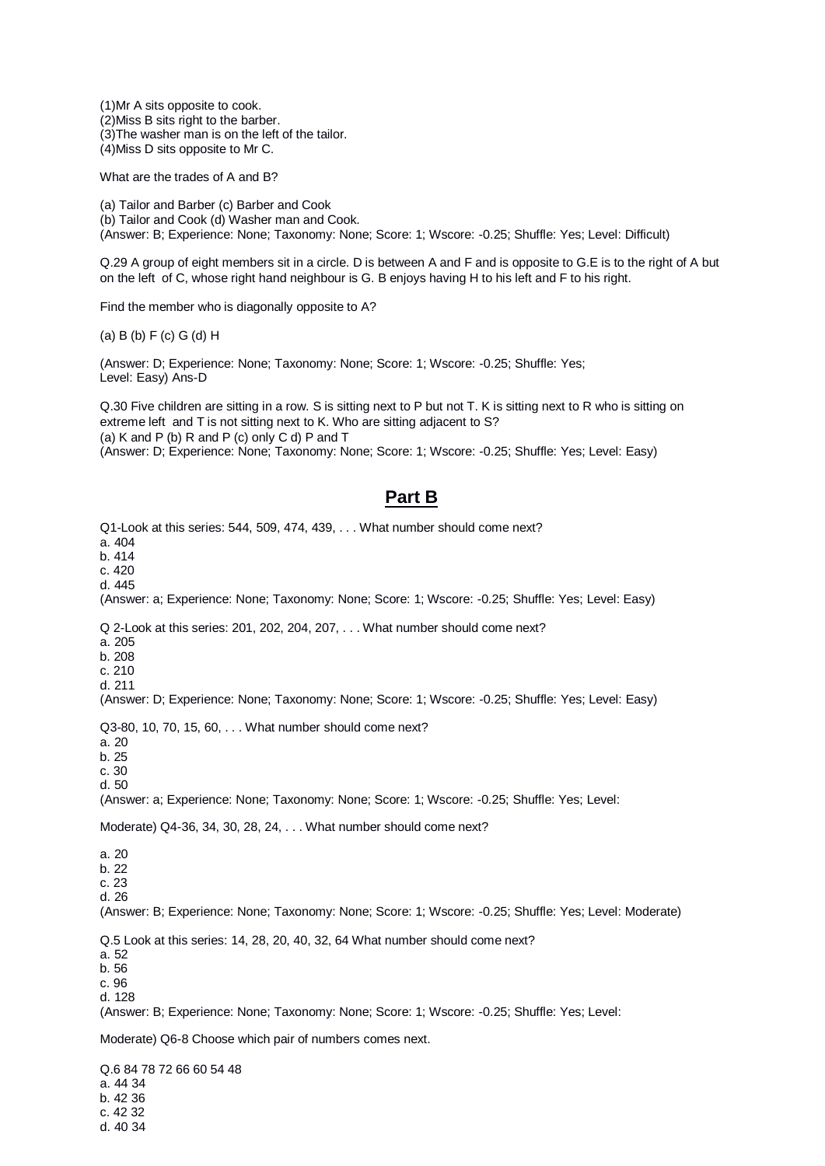(1)Mr A sits opposite to cook. (2)Miss B sits right to the barber. (3)The washer man is on the left of the tailor. (4)Miss D sits opposite to Mr C.

What are the trades of A and B?

(a) Tailor and Barber (c) Barber and Cook (b) Tailor and Cook (d) Washer man and Cook. (Answer: B; Experience: None; Taxonomy: None; Score: 1; Wscore: -0.25; Shuffle: Yes; Level: Difficult)

Q.29 A group of eight members sit in a circle. D is between A and F and is opposite to G.E is to the right of A but on the left of C, whose right hand neighbour is G. B enjoys having H to his left and F to his right.

Find the member who is diagonally opposite to A?

(a) B (b) F (c) G (d) H

(Answer: D; Experience: None; Taxonomy: None; Score: 1; Wscore: -0.25; Shuffle: Yes; Level: Easy) Ans-D

Q1-Look at this series: 544, 509, 474, 439, . . . What number should come next?

Q.30 Five children are sitting in a row. S is sitting next to P but not T. K is sitting next to R who is sitting on extreme left and T is not sitting next to K. Who are sitting adjacent to S? (a) K and P (b) R and P (c) only C d) P and T (Answer: D; Experience: None; Taxonomy: None; Score: 1; Wscore: -0.25; Shuffle: Yes; Level: Easy)

## **Part B**

a. 404 b. 414 c. 420 d. 445 (Answer: a; Experience: None; Taxonomy: None; Score: 1; Wscore: -0.25; Shuffle: Yes; Level: Easy) Q 2-Look at this series: 201, 202, 204, 207, . . . What number should come next? a. 205 b. 208 c. 210 d. 211 (Answer: D; Experience: None; Taxonomy: None; Score: 1; Wscore: -0.25; Shuffle: Yes; Level: Easy) Q3-80, 10, 70, 15, 60, . . . What number should come next? a. 20 b. 25 c. 30 d. 50 (Answer: a; Experience: None; Taxonomy: None; Score: 1; Wscore: -0.25; Shuffle: Yes; Level: Moderate) Q4-36, 34, 30, 28, 24, . . . What number should come next? a. 20 b. 22 c. 23 d. 26 (Answer: B; Experience: None; Taxonomy: None; Score: 1; Wscore: -0.25; Shuffle: Yes; Level: Moderate) Q.5 Look at this series: 14, 28, 20, 40, 32, 64 What number should come next? a. 52 b. 56 c. 96 d. 128 (Answer: B; Experience: None; Taxonomy: None; Score: 1; Wscore: -0.25; Shuffle: Yes; Level: Moderate) Q6-8 Choose which pair of numbers comes next.

Q.6 84 78 72 66 60 54 48 a. 44 34 b. 42 36 c. 42 32 d. 40 34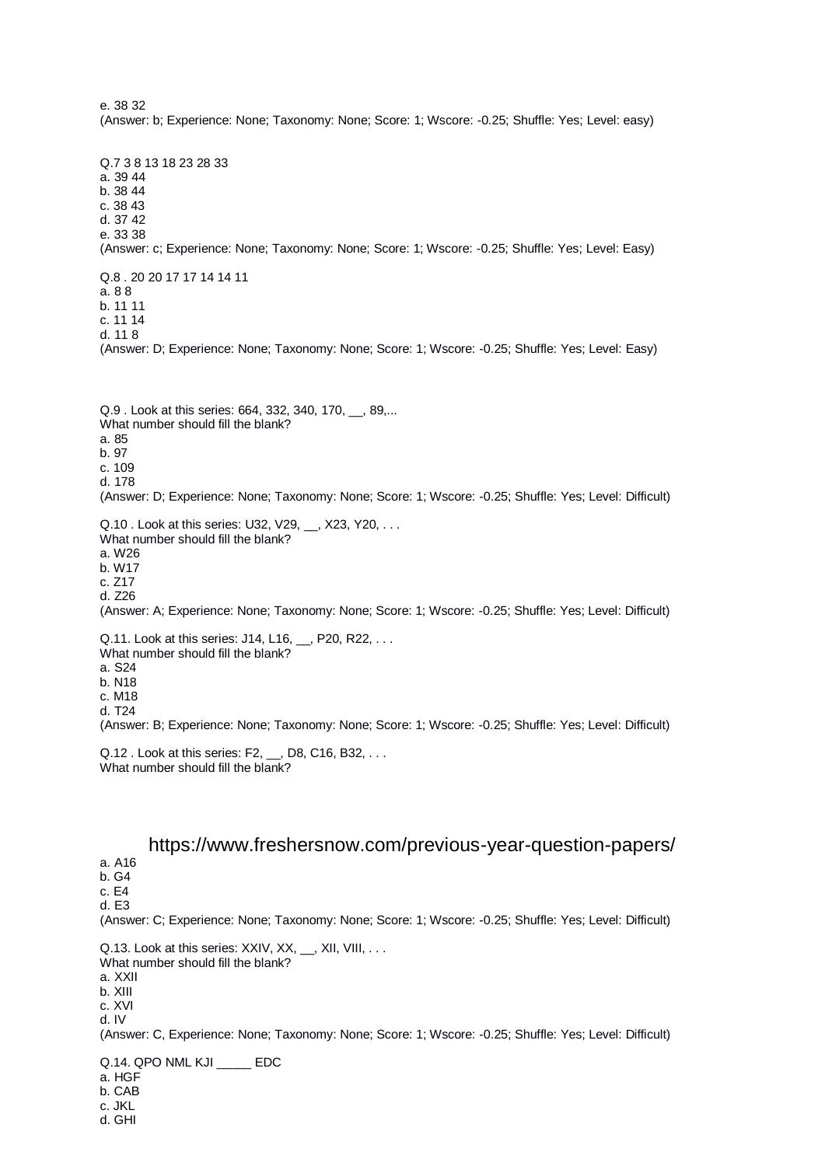e. 38 32 (Answer: b; Experience: None; Taxonomy: None; Score: 1; Wscore: -0.25; Shuffle: Yes; Level: easy)

Q.7 3 8 13 18 23 28 33 a. 39 44 b. 38 44 c. 38 43 d. 37 42 e. 33 38 (Answer: c; Experience: None; Taxonomy: None; Score: 1; Wscore: -0.25; Shuffle: Yes; Level: Easy) Q.8 . 20 20 17 17 14 14 11 a. 8 8 b. 11 11 c. 11 14 d. 11 8 (Answer: D; Experience: None; Taxonomy: None; Score: 1; Wscore: -0.25; Shuffle: Yes; Level: Easy) Q.9 . Look at this series: 664, 332, 340, 170, \_\_, 89,... What number should fill the blank? a. 85 b. 97 c. 109 d. 178 (Answer: D; Experience: None; Taxonomy: None; Score: 1; Wscore: -0.25; Shuffle: Yes; Level: Difficult) Q.10 . Look at this series: U32, V29, . X23, Y20, . . . What number should fill the blank? a. W26 b. W17 c. Z17 d. Z26 (Answer: A; Experience: None; Taxonomy: None; Score: 1; Wscore: -0.25; Shuffle: Yes; Level: Difficult) Q.11. Look at this series: J14, L16, ... P20, R22, ... What number should fill the blank? a. S24 b. N18 c. M18 d. T24 (Answer: B; Experience: None; Taxonomy: None; Score: 1; Wscore: -0.25; Shuffle: Yes; Level: Difficult) Q.12 . Look at this series: F2, . D8, C16, B32, . . . What number should fill the blank?

# https://www.freshersnow.com/previous-year-question-papers/

a. A16

b. G4

c. E4 d. E3

(Answer: C; Experience: None; Taxonomy: None; Score: 1; Wscore: -0.25; Shuffle: Yes; Level: Difficult)

Q.13. Look at this series: XXIV, XX, ... XII, VIII, ... What number should fill the blank?

a. XXII

b. XIII

c. XVI

d. IV

(Answer: C, Experience: None; Taxonomy: None; Score: 1; Wscore: -0.25; Shuffle: Yes; Level: Difficult)

Q.14. QPO NML KJI \_\_\_\_\_ EDC

a. HGF

b. CAB

c. JKL

d. GHI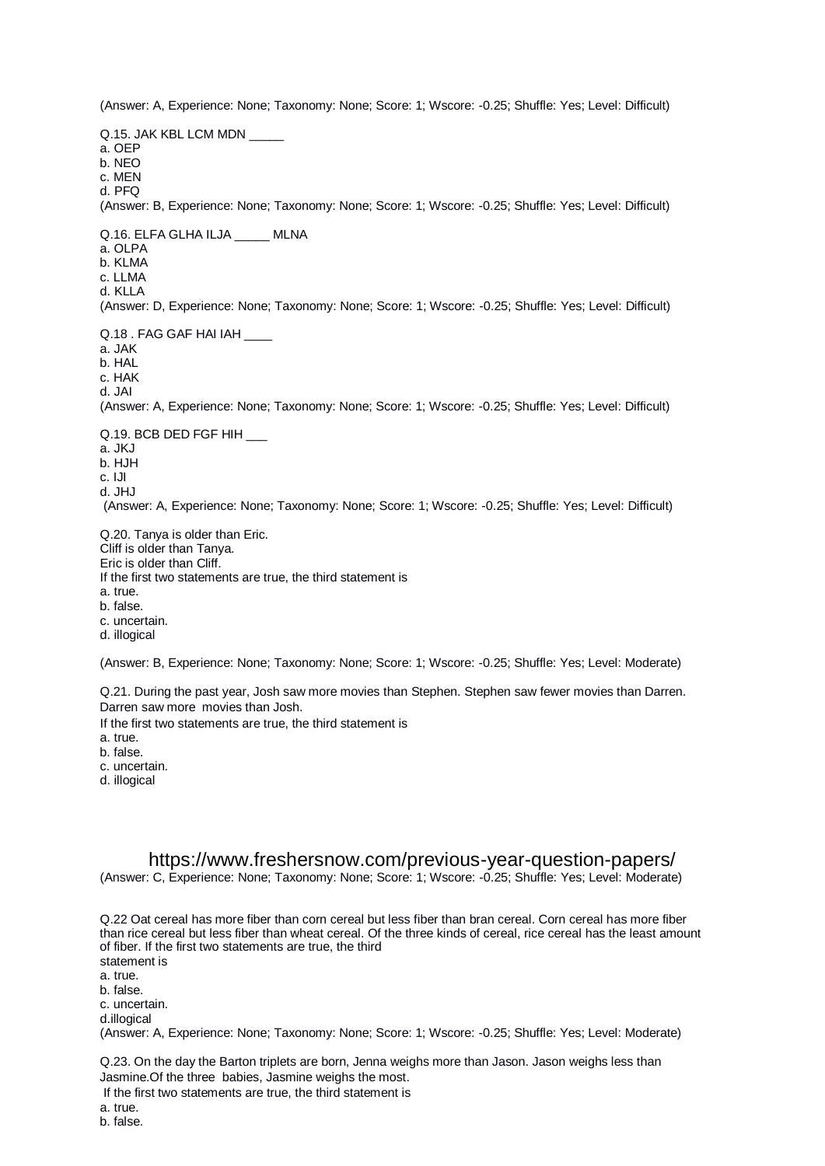(Answer: A, Experience: None; Taxonomy: None; Score: 1; Wscore: -0.25; Shuffle: Yes; Level: Difficult)

Q.15. JAK KBL LCM MDN \_\_ a. OEP b. NEO c. MEN d. PFQ (Answer: B, Experience: None; Taxonomy: None; Score: 1; Wscore: -0.25; Shuffle: Yes; Level: Difficult) Q.16. ELFA GLHA ILJA \_\_\_\_\_ MLNA a. OLPA b. KLMA c. LLMA d. KLLA (Answer: D, Experience: None; Taxonomy: None; Score: 1; Wscore: -0.25; Shuffle: Yes; Level: Difficult) Q.18 . FAG GAF HAI IAH \_\_\_\_ a. JAK b. HAL c. HAK d. JAI (Answer: A, Experience: None; Taxonomy: None; Score: 1; Wscore: -0.25; Shuffle: Yes; Level: Difficult) Q.19. BCB DED FGF HIH a. JKJ b. HJH c. IJI d. JHJ (Answer: A, Experience: None; Taxonomy: None; Score: 1; Wscore: -0.25; Shuffle: Yes; Level: Difficult)

Q.20. Tanya is older than Eric. Cliff is older than Tanya. Eric is older than Cliff. If the first two statements are true, the third statement is a. true. b. false. c. uncertain. d. illogical

(Answer: B, Experience: None; Taxonomy: None; Score: 1; Wscore: -0.25; Shuffle: Yes; Level: Moderate)

Q.21. During the past year, Josh saw more movies than Stephen. Stephen saw fewer movies than Darren. Darren saw more movies than Josh.

If the first two statements are true, the third statement is

a. true.

b. false.

- c. uncertain.
- d. illogical

# https://www.freshersnow.com/previous-year-question-papers/

(Answer: C, Experience: None; Taxonomy: None; Score: 1; Wscore: -0.25; Shuffle: Yes; Level: Moderate)

Q.22 Oat cereal has more fiber than corn cereal but less fiber than bran cereal. Corn cereal has more fiber than rice cereal but less fiber than wheat cereal. Of the three kinds of cereal, rice cereal has the least amount of fiber. If the first two statements are true, the third statement is

a. true.

b. false.

c. uncertain.

d.illogical

(Answer: A, Experience: None; Taxonomy: None; Score: 1; Wscore: -0.25; Shuffle: Yes; Level: Moderate)

Q.23. On the day the Barton triplets are born, Jenna weighs more than Jason. Jason weighs less than Jasmine.Of the three babies, Jasmine weighs the most.

If the first two statements are true, the third statement is

a. true.

b. false.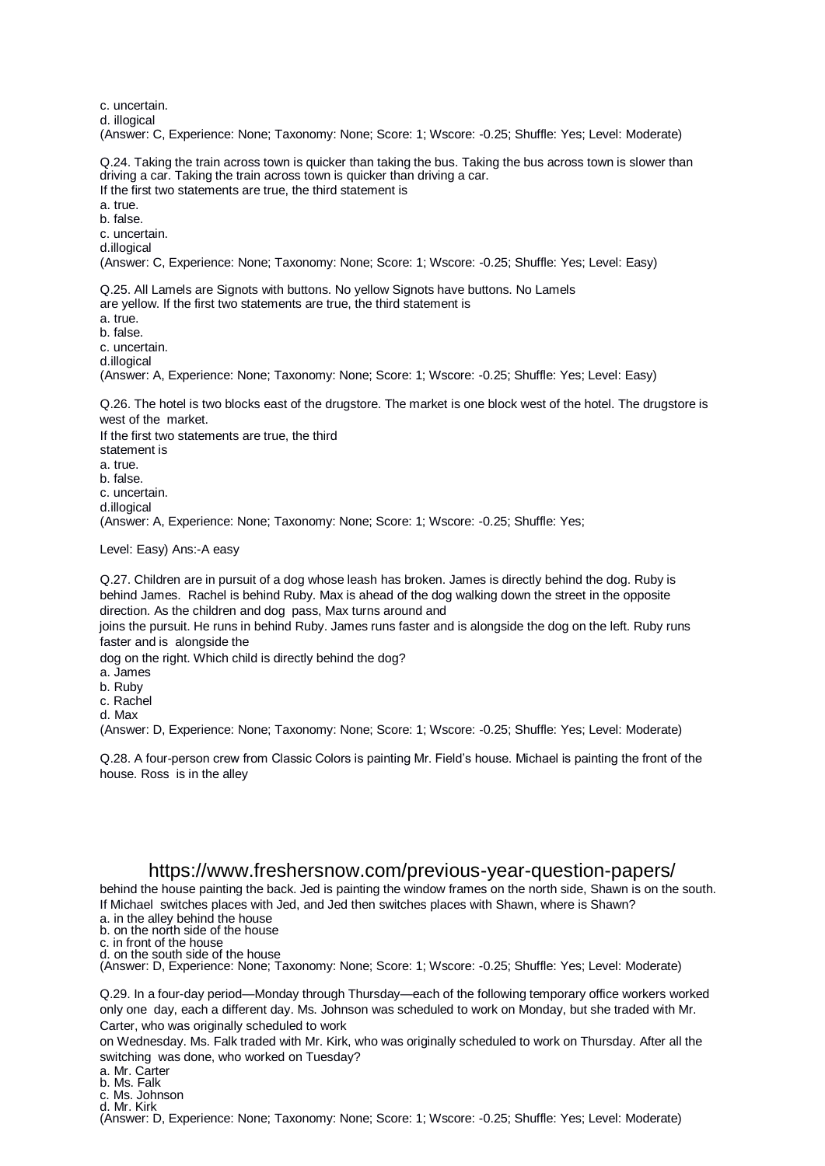c. uncertain.

d. illogical

(Answer: C, Experience: None; Taxonomy: None; Score: 1; Wscore: -0.25; Shuffle: Yes; Level: Moderate)

Q.24. Taking the train across town is quicker than taking the bus. Taking the bus across town is slower than driving a car. Taking the train across town is quicker than driving a car. If the first two statements are true, the third statement is

a. true.

b. false.

c. uncertain.

d.illogical

(Answer: C, Experience: None; Taxonomy: None; Score: 1; Wscore: -0.25; Shuffle: Yes; Level: Easy)

Q.25. All Lamels are Signots with buttons. No yellow Signots have buttons. No Lamels are yellow. If the first two statements are true, the third statement is

a. true.

b. false.

c. uncertain.

d.illogical

(Answer: A, Experience: None; Taxonomy: None; Score: 1; Wscore: -0.25; Shuffle: Yes; Level: Easy)

Q.26. The hotel is two blocks east of the drugstore. The market is one block west of the hotel. The drugstore is west of the market.

If the first two statements are true, the third statement is a. true. b. false. c. uncertain.

d.illogical

(Answer: A, Experience: None; Taxonomy: None; Score: 1; Wscore: -0.25; Shuffle: Yes;

Level: Easy) Ans:-A easy

Q.27. Children are in pursuit of a dog whose leash has broken. James is directly behind the dog. Ruby is behind James. Rachel is behind Ruby. Max is ahead of the dog walking down the street in the opposite direction. As the children and dog pass, Max turns around and

joins the pursuit. He runs in behind Ruby. James runs faster and is alongside the dog on the left. Ruby runs faster and is alongside the

dog on the right. Which child is directly behind the dog?

a. James

b. Ruby

c. Rachel

d. Max

(Answer: D, Experience: None; Taxonomy: None; Score: 1; Wscore: -0.25; Shuffle: Yes; Level: Moderate)

Q.28. A four-person crew from Classic Colors is painting Mr. Field's house. Michael is painting the front of the house. Ross is in the alley

### https://www.freshersnow.com/previous-year-question-papers/

behind the house painting the back. Jed is painting the window frames on the north side, Shawn is on the south. If Michael switches places with Jed, and Jed then switches places with Shawn, where is Shawn?

a. in the alley behind the house b. on the north side of the house

c. in front of the house

d. on the south side of the house

(Answer: D, Experience: None; Taxonomy: None; Score: 1; Wscore: -0.25; Shuffle: Yes; Level: Moderate)

Q.29. In a four-day period—Monday through Thursday—each of the following temporary office workers worked only one day, each a different day. Ms. Johnson was scheduled to work on Monday, but she traded with Mr. Carter, who was originally scheduled to work

on Wednesday. Ms. Falk traded with Mr. Kirk, who was originally scheduled to work on Thursday. After all the switching was done, who worked on Tuesday?

a. Mr. Carter

b. Ms. Falk

c. Ms. Johnson

d. Mr. Kirk

(Answer: D, Experience: None; Taxonomy: None; Score: 1; Wscore: -0.25; Shuffle: Yes; Level: Moderate)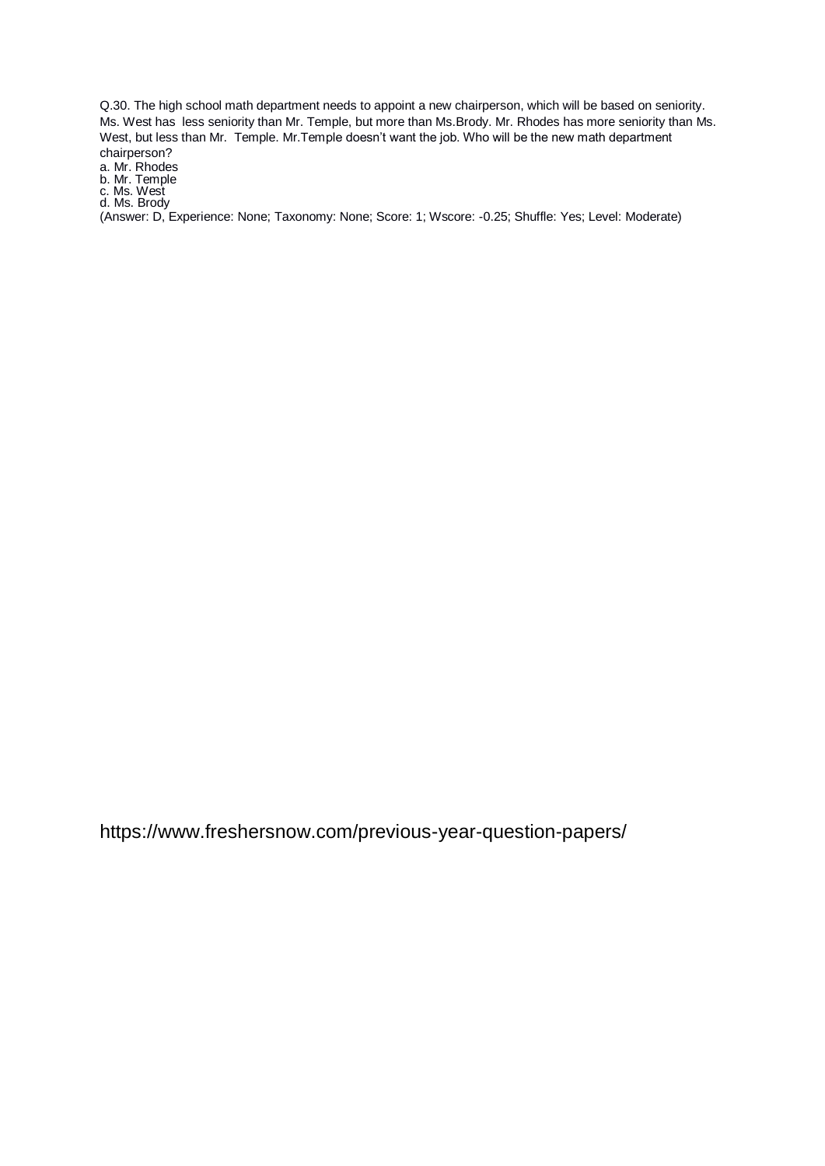Q.30. The high school math department needs to appoint a new chairperson, which will be based on seniority. Ms. West has less seniority than Mr. Temple, but more than Ms.Brody. Mr. Rhodes has more seniority than Ms. West, but less than Mr. Temple. Mr.Temple doesn't want the job. Who will be the new math department chairperson?

a. Mr. Rhodes b. Mr. Temple

c. Ms. West

d. Ms. Brody

(Answer: D, Experience: None; Taxonomy: None; Score: 1; Wscore: -0.25; Shuffle: Yes; Level: Moderate)

https://www.freshersnow.com/previous-year-question-papers/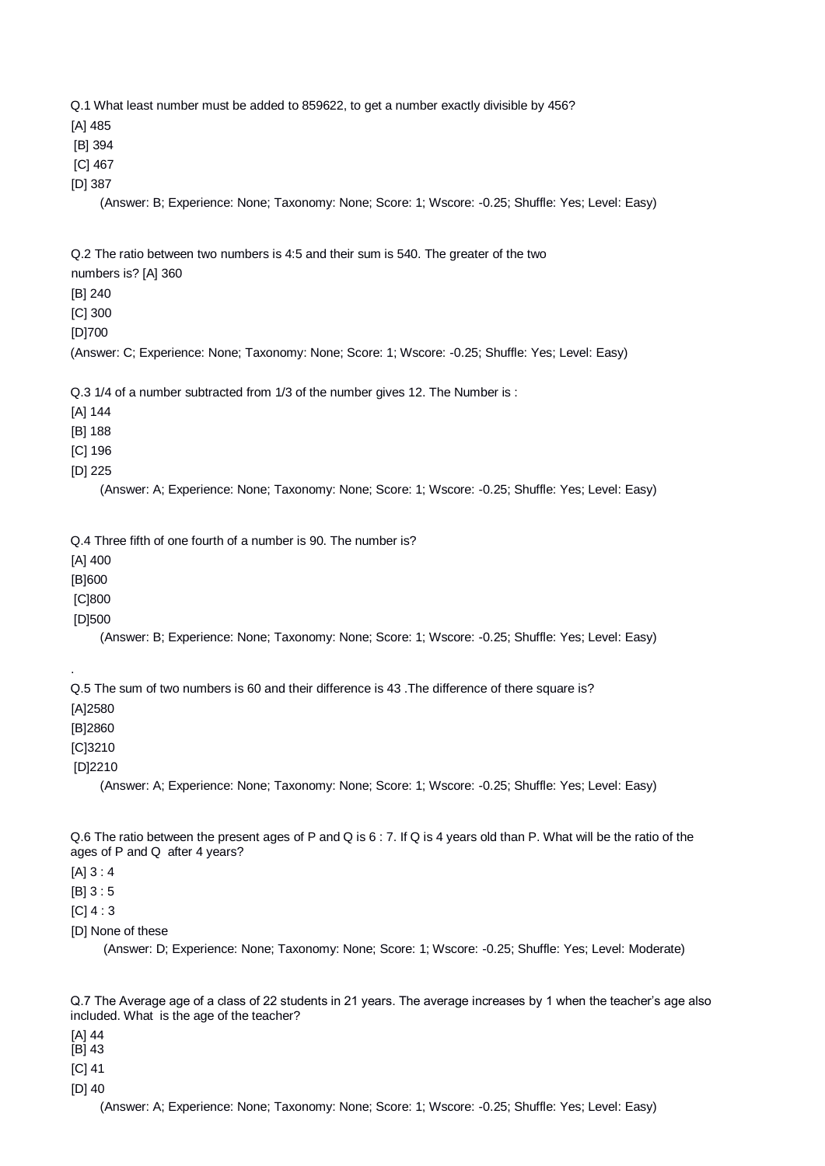Q.1 What least number must be added to 859622, to get a number exactly divisible by 456?

[A] 485

- [B] 394
- [C] 467
- [D] 387

(Answer: B; Experience: None; Taxonomy: None; Score: 1; Wscore: -0.25; Shuffle: Yes; Level: Easy)

Q.2 The ratio between two numbers is 4:5 and their sum is 540. The greater of the two

numbers is? [A] 360

[B] 240

[C] 300

[D]700

(Answer: C; Experience: None; Taxonomy: None; Score: 1; Wscore: -0.25; Shuffle: Yes; Level: Easy)

Q.3 1/4 of a number subtracted from 1/3 of the number gives 12. The Number is :

[A] 144

[B] 188

[C] 196

[D] 225

(Answer: A; Experience: None; Taxonomy: None; Score: 1; Wscore: -0.25; Shuffle: Yes; Level: Easy)

Q.4 Three fifth of one fourth of a number is 90. The number is?

[A] 400

[B]600

[C]800

[D]500

(Answer: B; Experience: None; Taxonomy: None; Score: 1; Wscore: -0.25; Shuffle: Yes; Level: Easy)

Q.5 The sum of two numbers is 60 and their difference is 43 .The difference of there square is?

[A]2580

.

[B]2860

[C]3210

[D]2210

(Answer: A; Experience: None; Taxonomy: None; Score: 1; Wscore: -0.25; Shuffle: Yes; Level: Easy)

Q.6 The ratio between the present ages of P and Q is 6 : 7. If Q is 4 years old than P. What will be the ratio of the ages of P and Q after 4 years?

 $[A] 3 : 4$ 

[B] 3 : 5

[C] 4 : 3

[D] None of these

(Answer: D; Experience: None; Taxonomy: None; Score: 1; Wscore: -0.25; Shuffle: Yes; Level: Moderate)

Q.7 The Average age of a class of 22 students in 21 years. The average increases by 1 when the teacher's age also included. What is the age of the teacher?

[A] 44

[B] 43

[C] 41

[D] 40

(Answer: A; Experience: None; Taxonomy: None; Score: 1; Wscore: -0.25; Shuffle: Yes; Level: Easy)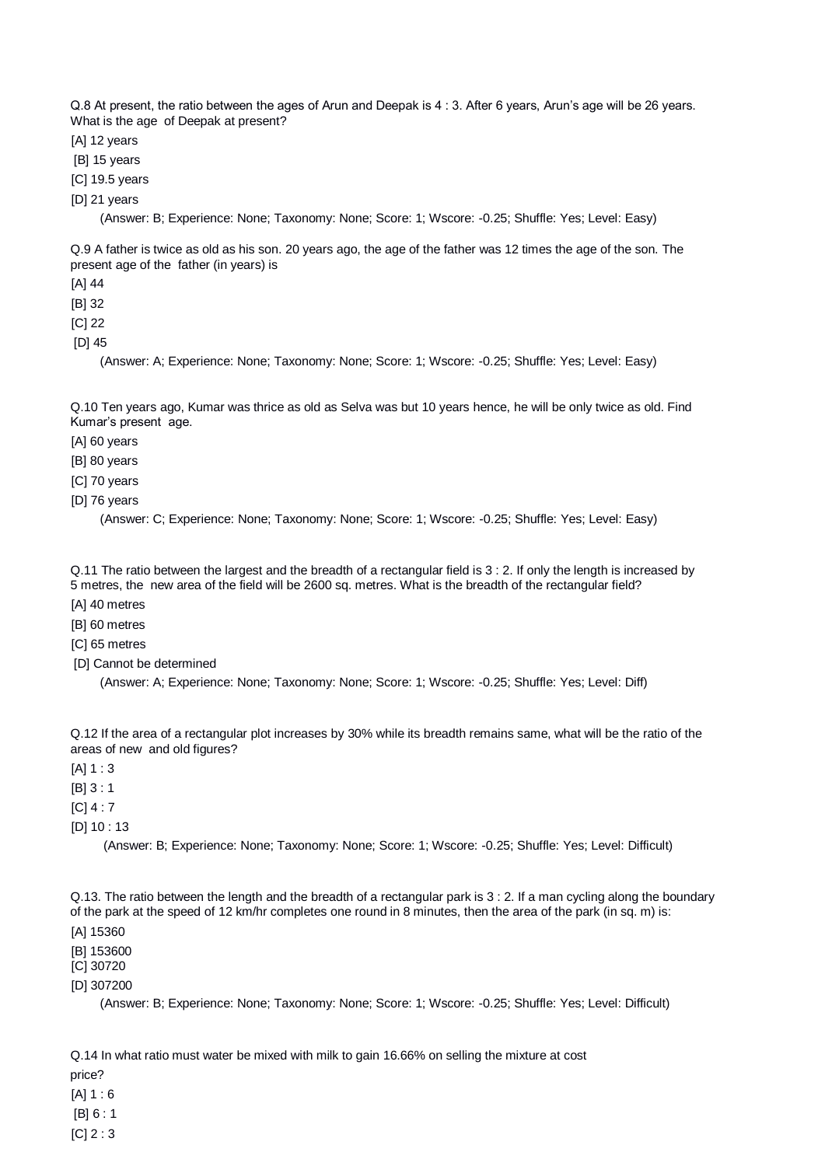Q.8 At present, the ratio between the ages of Arun and Deepak is 4 : 3. After 6 years, Arun's age will be 26 years. What is the age of Deepak at present?

[A] 12 years

[B] 15 years

[C] 19.5 years

[D] 21 years

(Answer: B; Experience: None; Taxonomy: None; Score: 1; Wscore: -0.25; Shuffle: Yes; Level: Easy)

Q.9 A father is twice as old as his son. 20 years ago, the age of the father was 12 times the age of the son. The present age of the father (in years) is

[A] 44

[B] 32

[C] 22

[D] 45

(Answer: A; Experience: None; Taxonomy: None; Score: 1; Wscore: -0.25; Shuffle: Yes; Level: Easy)

Q.10 Ten years ago, Kumar was thrice as old as Selva was but 10 years hence, he will be only twice as old. Find Kumar's present age.

[A] 60 years

[B] 80 years

[C] 70 years

[D] 76 years

(Answer: C; Experience: None; Taxonomy: None; Score: 1; Wscore: -0.25; Shuffle: Yes; Level: Easy)

Q.11 The ratio between the largest and the breadth of a rectangular field is 3 : 2. If only the length is increased by 5 metres, the new area of the field will be 2600 sq. metres. What is the breadth of the rectangular field?

[A] 40 metres

[B] 60 metres

[C] 65 metres

[D] Cannot be determined

(Answer: A; Experience: None; Taxonomy: None; Score: 1; Wscore: -0.25; Shuffle: Yes; Level: Diff)

Q.12 If the area of a rectangular plot increases by 30% while its breadth remains same, what will be the ratio of the areas of new and old figures?

 $[A] 1 : 3$ 

[B] 3 : 1

 $[C]$  4 : 7

[D] 10 : 13

(Answer: B; Experience: None; Taxonomy: None; Score: 1; Wscore: -0.25; Shuffle: Yes; Level: Difficult)

Q.13. The ratio between the length and the breadth of a rectangular park is 3 : 2. If a man cycling along the boundary of the park at the speed of 12 km/hr completes one round in 8 minutes, then the area of the park (in sq. m) is: [A] 15360

[B] 153600 [C] 30720

[D] 307200

(Answer: B; Experience: None; Taxonomy: None; Score: 1; Wscore: -0.25; Shuffle: Yes; Level: Difficult)

Q.14 In what ratio must water be mixed with milk to gain 16.66% on selling the mixture at cost

price?

 $[A] 1 : 6$ [B] 6 : 1

[C] 2 : 3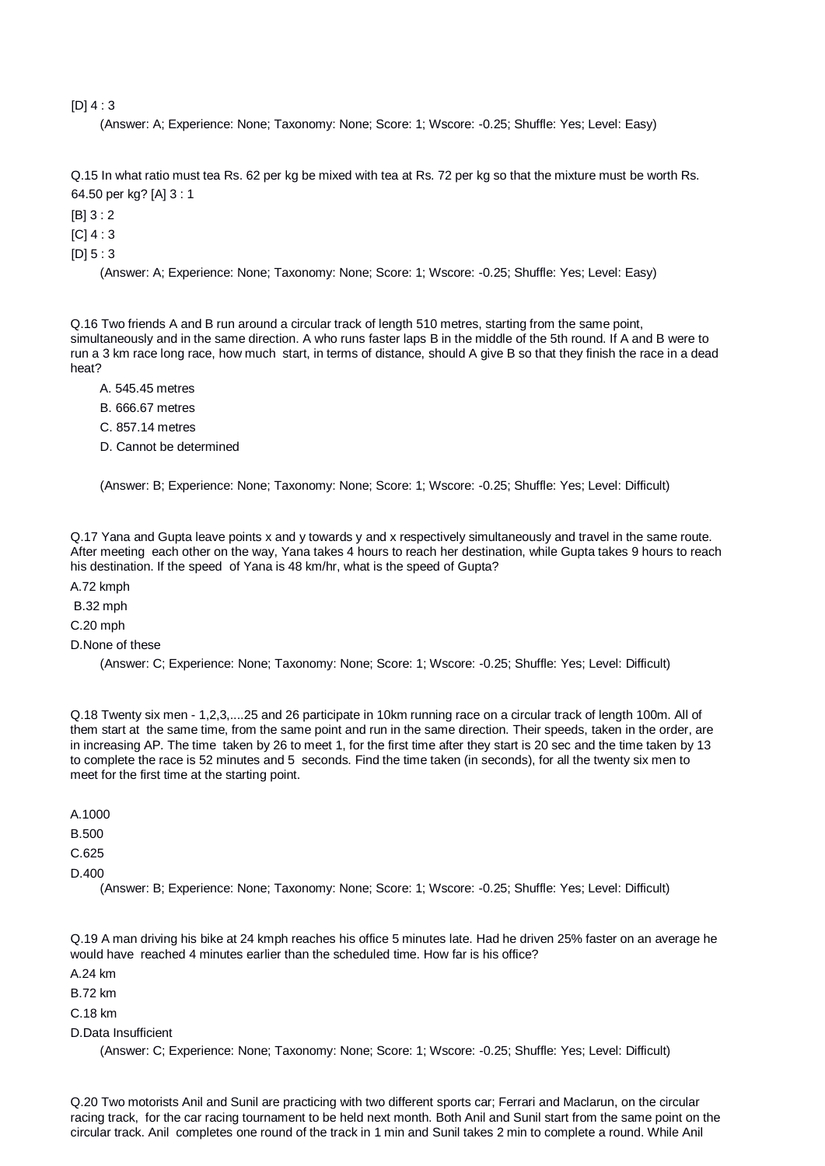$[D]$  4 : 3

(Answer: A; Experience: None; Taxonomy: None; Score: 1; Wscore: -0.25; Shuffle: Yes; Level: Easy)

Q.15 In what ratio must tea Rs. 62 per kg be mixed with tea at Rs. 72 per kg so that the mixture must be worth Rs. 64.50 per kg? [A] 3 : 1

[B] 3 : 2

 $[C] 4 : 3$ 

 $[D] 5 : 3$ 

(Answer: A; Experience: None; Taxonomy: None; Score: 1; Wscore: -0.25; Shuffle: Yes; Level: Easy)

Q.16 Two friends A and B run around a circular track of length 510 metres, starting from the same point, simultaneously and in the same direction. A who runs faster laps B in the middle of the 5th round. If A and B were to run a 3 km race long race, how much start, in terms of distance, should A give B so that they finish the race in a dead heat?

- A. 545.45 metres
- B. 666.67 metres
- C. 857.14 metres
- D. Cannot be determined

(Answer: B; Experience: None; Taxonomy: None; Score: 1; Wscore: -0.25; Shuffle: Yes; Level: Difficult)

Q.17 Yana and Gupta leave points x and y towards y and x respectively simultaneously and travel in the same route. After meeting each other on the way, Yana takes 4 hours to reach her destination, while Gupta takes 9 hours to reach his destination. If the speed of Yana is 48 km/hr, what is the speed of Gupta?

A.72 kmph

- B.32 mph
- C.20 mph
- D.None of these

(Answer: C; Experience: None; Taxonomy: None; Score: 1; Wscore: -0.25; Shuffle: Yes; Level: Difficult)

Q.18 Twenty six men - 1,2,3,....25 and 26 participate in 10km running race on a circular track of length 100m. All of them start at the same time, from the same point and run in the same direction. Their speeds, taken in the order, are in increasing AP. The time taken by 26 to meet 1, for the first time after they start is 20 sec and the time taken by 13 to complete the race is 52 minutes and 5 seconds. Find the time taken (in seconds), for all the twenty six men to meet for the first time at the starting point.

A.1000

B.500

C.625

D.400

(Answer: B; Experience: None; Taxonomy: None; Score: 1; Wscore: -0.25; Shuffle: Yes; Level: Difficult)

Q.19 A man driving his bike at 24 kmph reaches his office 5 minutes late. Had he driven 25% faster on an average he would have reached 4 minutes earlier than the scheduled time. How far is his office?

- A.24 km
- B.72 km
- C.18 km
- D.Data Insufficient

(Answer: C; Experience: None; Taxonomy: None; Score: 1; Wscore: -0.25; Shuffle: Yes; Level: Difficult)

Q.20 Two motorists Anil and Sunil are practicing with two different sports car; Ferrari and Maclarun, on the circular racing track, for the car racing tournament to be held next month. Both Anil and Sunil start from the same point on the circular track. Anil completes one round of the track in 1 min and Sunil takes 2 min to complete a round. While Anil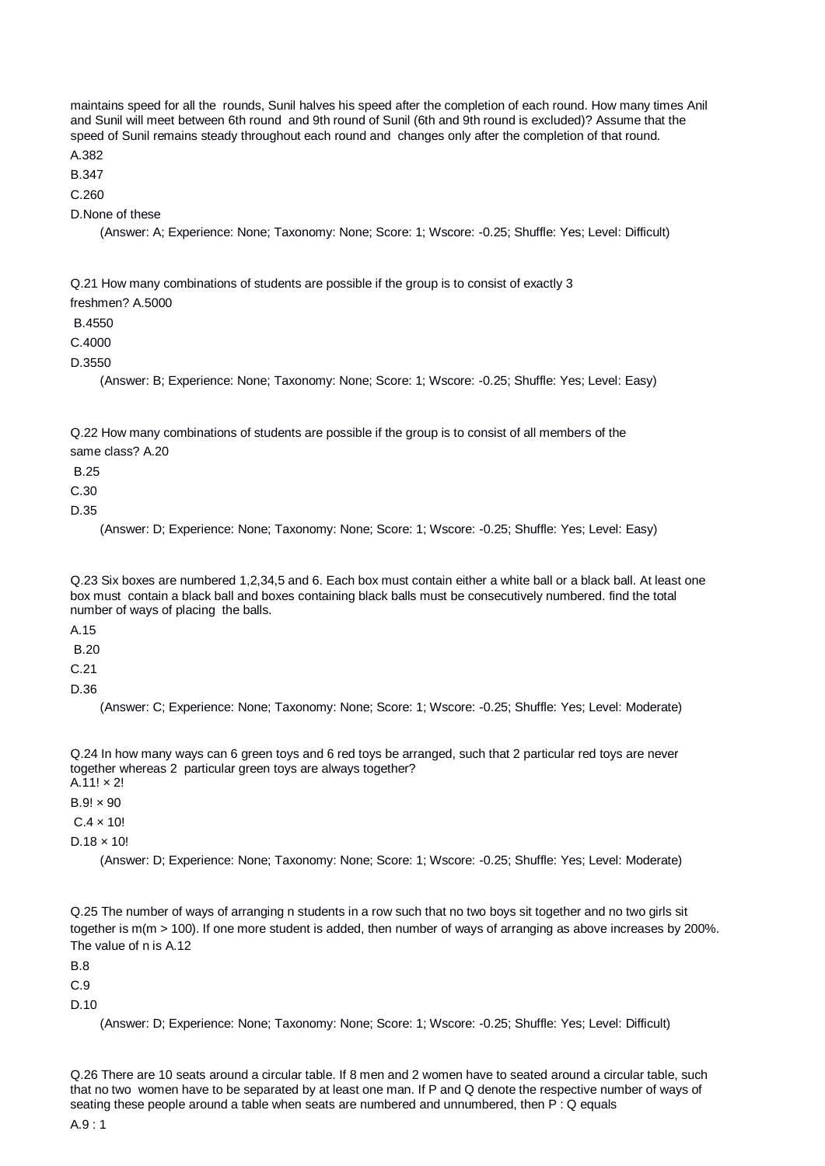maintains speed for all the rounds, Sunil halves his speed after the completion of each round. How many times Anil and Sunil will meet between 6th round and 9th round of Sunil (6th and 9th round is excluded)? Assume that the speed of Sunil remains steady throughout each round and changes only after the completion of that round.

A.382

B.347

C.260

D.None of these

(Answer: A; Experience: None; Taxonomy: None; Score: 1; Wscore: -0.25; Shuffle: Yes; Level: Difficult)

Q.21 How many combinations of students are possible if the group is to consist of exactly 3 freshmen? A.5000

B.4550

C.4000

D.3550

(Answer: B; Experience: None; Taxonomy: None; Score: 1; Wscore: -0.25; Shuffle: Yes; Level: Easy)

Q.22 How many combinations of students are possible if the group is to consist of all members of the same class? A.20

B.25

C.30

D.35

(Answer: D; Experience: None; Taxonomy: None; Score: 1; Wscore: -0.25; Shuffle: Yes; Level: Easy)

Q.23 Six boxes are numbered 1,2,34,5 and 6. Each box must contain either a white ball or a black ball. At least one box must contain a black ball and boxes containing black balls must be consecutively numbered. find the total number of ways of placing the balls.

A.15

B.20

C.21

D.36

(Answer: C; Experience: None; Taxonomy: None; Score: 1; Wscore: -0.25; Shuffle: Yes; Level: Moderate)

Q.24 In how many ways can 6 green toys and 6 red toys be arranged, such that 2 particular red toys are never together whereas 2 particular green toys are always together?  $A.11! \times 2!$ 

B.9! × 90  $C.4 \times 10!$ 

 $D.18 \times 10!$ 

(Answer: D; Experience: None; Taxonomy: None; Score: 1; Wscore: -0.25; Shuffle: Yes; Level: Moderate)

Q.25 The number of ways of arranging n students in a row such that no two boys sit together and no two girls sit together is m(m > 100). If one more student is added, then number of ways of arranging as above increases by 200%. The value of n is A.12

## B.8

 $C.9$ 

D.10

(Answer: D; Experience: None; Taxonomy: None; Score: 1; Wscore: -0.25; Shuffle: Yes; Level: Difficult)

Q.26 There are 10 seats around a circular table. If 8 men and 2 women have to seated around a circular table, such that no two women have to be separated by at least one man. If P and Q denote the respective number of ways of seating these people around a table when seats are numbered and unnumbered, then P : Q equals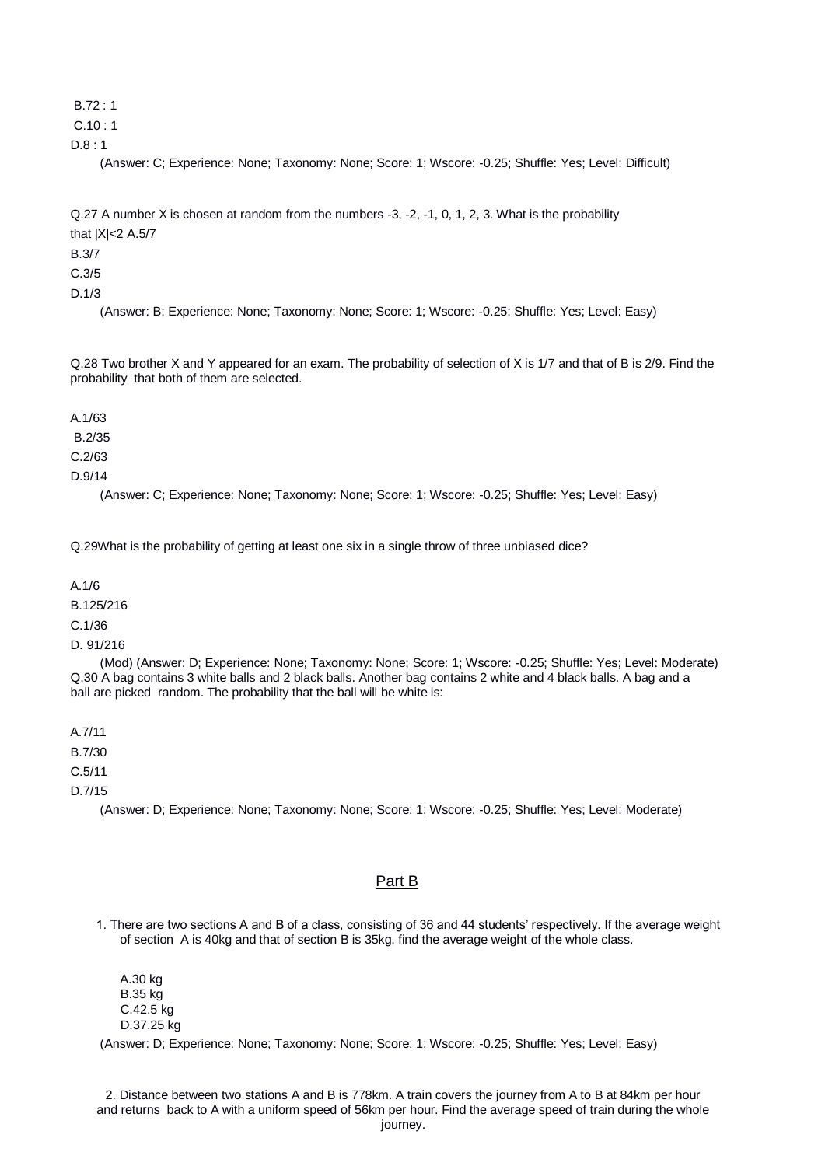#### B.72 : 1

 $C.10:1$ 

D.8 : 1

(Answer: C; Experience: None; Taxonomy: None; Score: 1; Wscore: -0.25; Shuffle: Yes; Level: Difficult)

Q.27 A number X is chosen at random from the numbers -3, -2, -1, 0, 1, 2, 3. What is the probability that |X|<2 A.5/7 B.3/7 C.3/5 D.1/3 (Answer: B; Experience: None; Taxonomy: None; Score: 1; Wscore: -0.25; Shuffle: Yes; Level: Easy)

Q.28 Two brother X and Y appeared for an exam. The probability of selection of X is 1/7 and that of B is 2/9. Find the probability that both of them are selected.

A.1/63

B.2/35

C.2/63

D.9/14

(Answer: C; Experience: None; Taxonomy: None; Score: 1; Wscore: -0.25; Shuffle: Yes; Level: Easy)

Q.29What is the probability of getting at least one six in a single throw of three unbiased dice?

A.1/6

B.125/216

C.1/36

D. 91/216

(Mod) (Answer: D; Experience: None; Taxonomy: None; Score: 1; Wscore: -0.25; Shuffle: Yes; Level: Moderate) Q.30 A bag contains 3 white balls and 2 black balls. Another bag contains 2 white and 4 black balls. A bag and a ball are picked random. The probability that the ball will be white is:

A.7/11

B.7/30

C.5/11

D.7/15

(Answer: D; Experience: None; Taxonomy: None; Score: 1; Wscore: -0.25; Shuffle: Yes; Level: Moderate)

# Part B

1. There are two sections A and B of a class, consisting of 36 and 44 students' respectively. If the average weight of section A is 40kg and that of section B is 35kg, find the average weight of the whole class.

A.30 kg B.35 kg C.42.5 kg D.37.25 kg

(Answer: D; Experience: None; Taxonomy: None; Score: 1; Wscore: -0.25; Shuffle: Yes; Level: Easy)

2. Distance between two stations A and B is 778km. A train covers the journey from A to B at 84km per hour and returns back to A with a uniform speed of 56km per hour. Find the average speed of train during the whole iourney.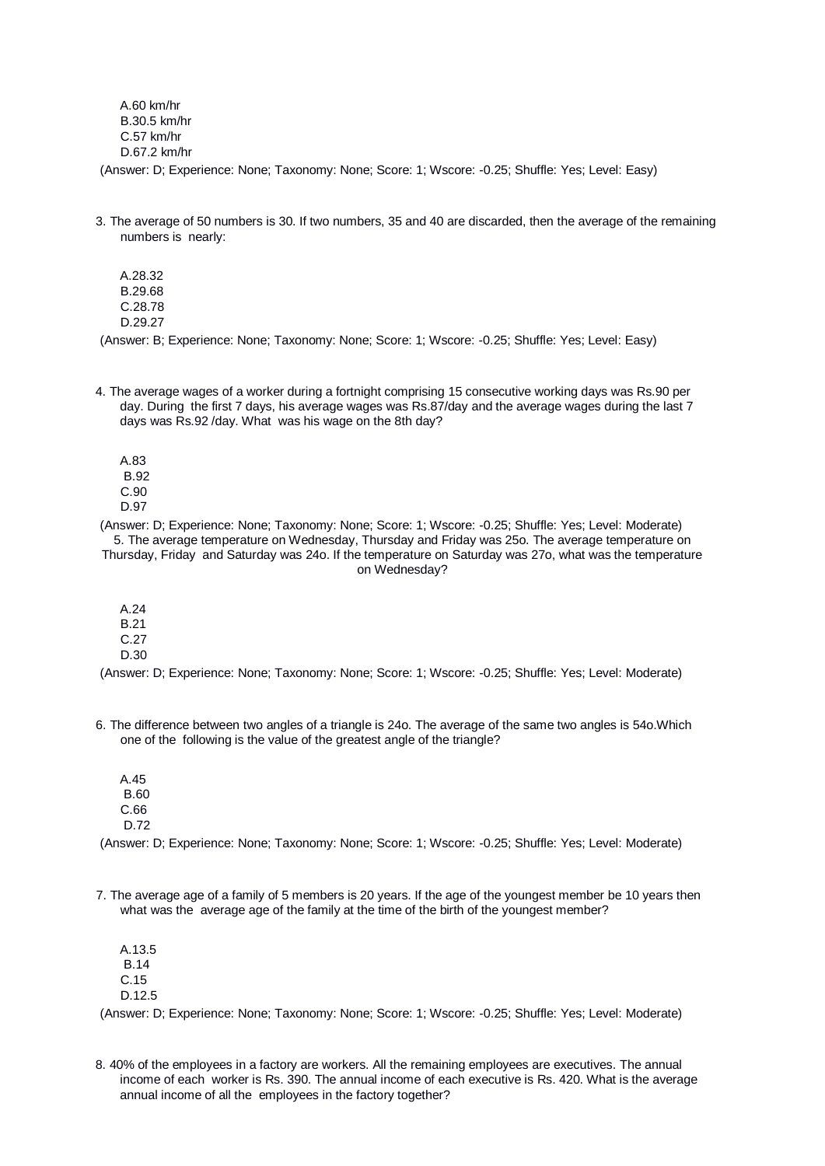A.60 km/hr B.30.5 km/hr C.57 km/hr D.67.2 km/hr

(Answer: D; Experience: None; Taxonomy: None; Score: 1; Wscore: -0.25; Shuffle: Yes; Level: Easy)

3. The average of 50 numbers is 30. If two numbers, 35 and 40 are discarded, then the average of the remaining numbers is nearly:

A.28.32 B.29.68 C.28.78 D.29.27

(Answer: B; Experience: None; Taxonomy: None; Score: 1; Wscore: -0.25; Shuffle: Yes; Level: Easy)

- 4. The average wages of a worker during a fortnight comprising 15 consecutive working days was Rs.90 per day. During the first 7 days, his average wages was Rs.87/day and the average wages during the last 7 days was Rs.92 /day. What was his wage on the 8th day?
	- A.83 B.92 C.90 D.97

(Answer: D; Experience: None; Taxonomy: None; Score: 1; Wscore: -0.25; Shuffle: Yes; Level: Moderate) 5. The average temperature on Wednesday, Thursday and Friday was 25o. The average temperature on Thursday, Friday and Saturday was 24o. If the temperature on Saturday was 27o, what was the temperature on Wednesday?

- A.24 B.21 C.27
- D.30

(Answer: D; Experience: None; Taxonomy: None; Score: 1; Wscore: -0.25; Shuffle: Yes; Level: Moderate)

- 6. The difference between two angles of a triangle is 24o. The average of the same two angles is 54o.Which one of the following is the value of the greatest angle of the triangle?
	- A.45 B.60 C.66 D.72

(Answer: D; Experience: None; Taxonomy: None; Score: 1; Wscore: -0.25; Shuffle: Yes; Level: Moderate)

7. The average age of a family of 5 members is 20 years. If the age of the youngest member be 10 years then what was the average age of the family at the time of the birth of the youngest member?

A.13.5 B.14 C.15 D.12.5

(Answer: D; Experience: None; Taxonomy: None; Score: 1; Wscore: -0.25; Shuffle: Yes; Level: Moderate)

8. 40% of the employees in a factory are workers. All the remaining employees are executives. The annual income of each worker is Rs. 390. The annual income of each executive is Rs. 420. What is the average annual income of all the employees in the factory together?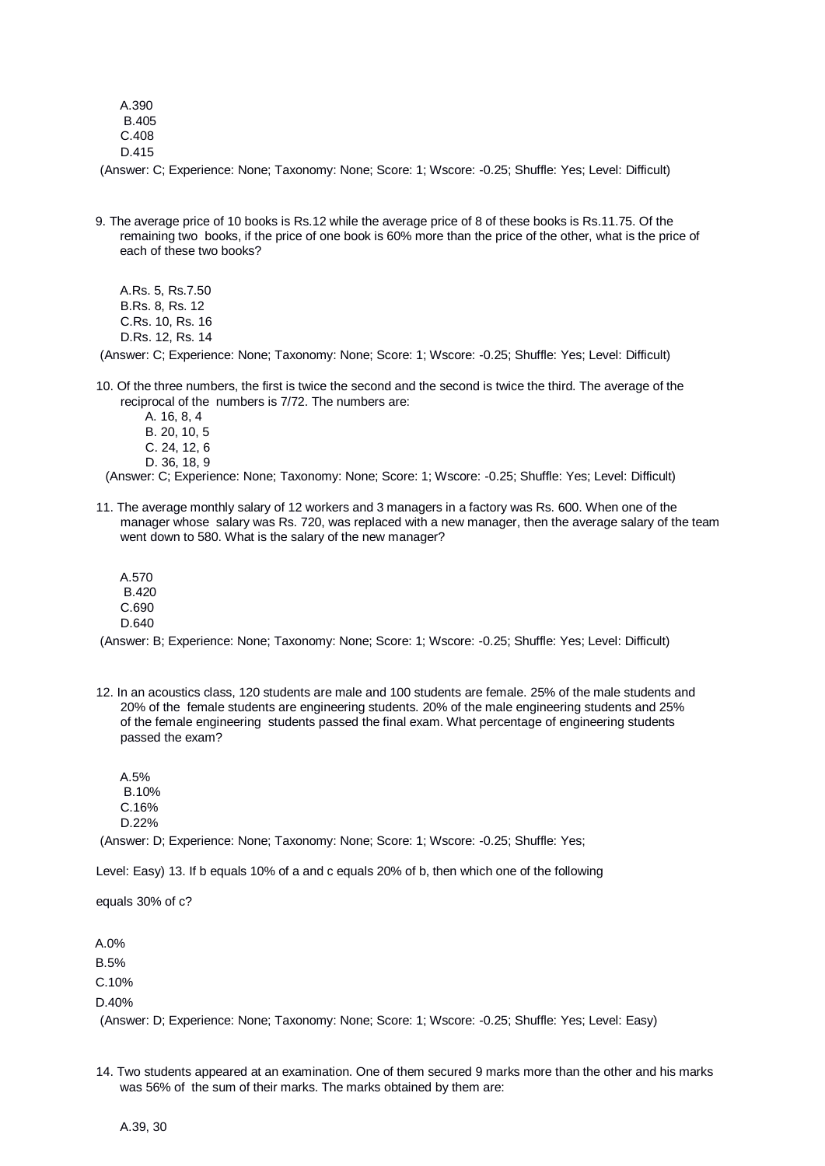A.390 B.405 C.408 D.415

(Answer: C; Experience: None; Taxonomy: None; Score: 1; Wscore: -0.25; Shuffle: Yes; Level: Difficult)

9. The average price of 10 books is Rs.12 while the average price of 8 of these books is Rs.11.75. Of the remaining two books, if the price of one book is 60% more than the price of the other, what is the price of each of these two books?

A.Rs. 5, Rs.7.50 B.Rs. 8, Rs. 12 C.Rs. 10, Rs. 16 D.Rs. 12, Rs. 14

(Answer: C; Experience: None; Taxonomy: None; Score: 1; Wscore: -0.25; Shuffle: Yes; Level: Difficult)

- 10. Of the three numbers, the first is twice the second and the second is twice the third. The average of the reciprocal of the numbers is 7/72. The numbers are:
	- A. 16, 8, 4 B. 20, 10, 5
	- C. 24, 12, 6
	- D. 36, 18, 9

(Answer: C; Experience: None; Taxonomy: None; Score: 1; Wscore: -0.25; Shuffle: Yes; Level: Difficult)

11. The average monthly salary of 12 workers and 3 managers in a factory was Rs. 600. When one of the manager whose salary was Rs. 720, was replaced with a new manager, then the average salary of the team went down to 580. What is the salary of the new manager?

A.570 B.420 C.690 D.640

(Answer: B; Experience: None; Taxonomy: None; Score: 1; Wscore: -0.25; Shuffle: Yes; Level: Difficult)

12. In an acoustics class, 120 students are male and 100 students are female. 25% of the male students and 20% of the female students are engineering students. 20% of the male engineering students and 25% of the female engineering students passed the final exam. What percentage of engineering students passed the exam?

A.5% B.10% C.16% D.22%

(Answer: D; Experience: None; Taxonomy: None; Score: 1; Wscore: -0.25; Shuffle: Yes;

Level: Easy) 13. If b equals 10% of a and c equals 20% of b, then which one of the following

equals 30% of c?

A.0%

B.5%

C.10%

D.40%

(Answer: D; Experience: None; Taxonomy: None; Score: 1; Wscore: -0.25; Shuffle: Yes; Level: Easy)

<sup>14.</sup> Two students appeared at an examination. One of them secured 9 marks more than the other and his marks was 56% of the sum of their marks. The marks obtained by them are: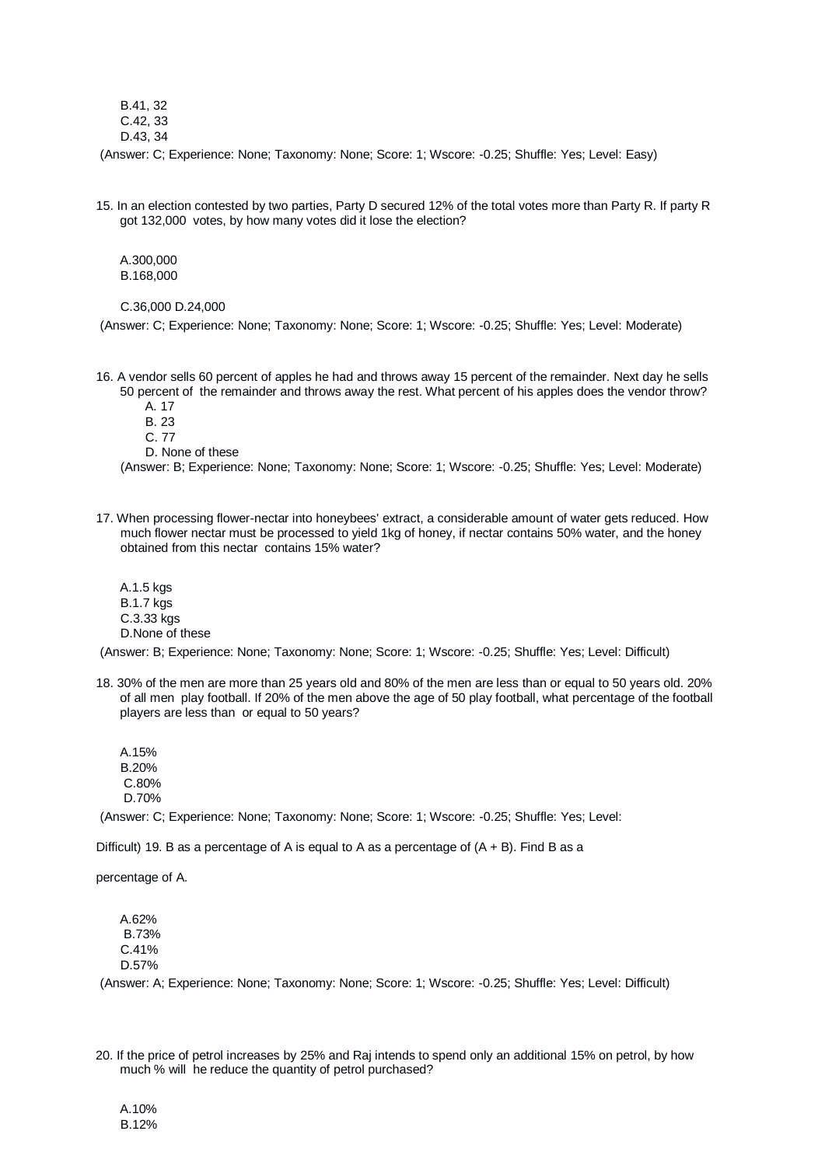B.41, 32

C.42, 33

D.43, 34

(Answer: C; Experience: None; Taxonomy: None; Score: 1; Wscore: -0.25; Shuffle: Yes; Level: Easy)

15. In an election contested by two parties, Party D secured 12% of the total votes more than Party R. If party R got 132,000 votes, by how many votes did it lose the election?

A.300,000 B.168,000

C.36,000 D.24,000

(Answer: C; Experience: None; Taxonomy: None; Score: 1; Wscore: -0.25; Shuffle: Yes; Level: Moderate)

- 16. A vendor sells 60 percent of apples he had and throws away 15 percent of the remainder. Next day he sells 50 percent of the remainder and throws away the rest. What percent of his apples does the vendor throw?
	- A. 17
	- B. 23
	- C. 77

D. None of these

(Answer: B; Experience: None; Taxonomy: None; Score: 1; Wscore: -0.25; Shuffle: Yes; Level: Moderate)

17. When processing flower-nectar into honeybees' extract, a considerable amount of water gets reduced. How much flower nectar must be processed to yield 1kg of honey, if nectar contains 50% water, and the honey obtained from this nectar contains 15% water?

A.1.5 kgs B.1.7 kgs C.3.33 kgs D.None of these

(Answer: B; Experience: None; Taxonomy: None; Score: 1; Wscore: -0.25; Shuffle: Yes; Level: Difficult)

18. 30% of the men are more than 25 years old and 80% of the men are less than or equal to 50 years old. 20% of all men play football. If 20% of the men above the age of 50 play football, what percentage of the football players are less than or equal to 50 years?

A.15% B.20% C.80% D.70%

(Answer: C; Experience: None; Taxonomy: None; Score: 1; Wscore: -0.25; Shuffle: Yes; Level:

Difficult) 19. B as a percentage of A is equal to A as a percentage of  $(A + B)$ . Find B as a

percentage of A.

A.62% B.73% C.41% D.57%

(Answer: A; Experience: None; Taxonomy: None; Score: 1; Wscore: -0.25; Shuffle: Yes; Level: Difficult)

20. If the price of petrol increases by 25% and Raj intends to spend only an additional 15% on petrol, by how much % will he reduce the quantity of petrol purchased?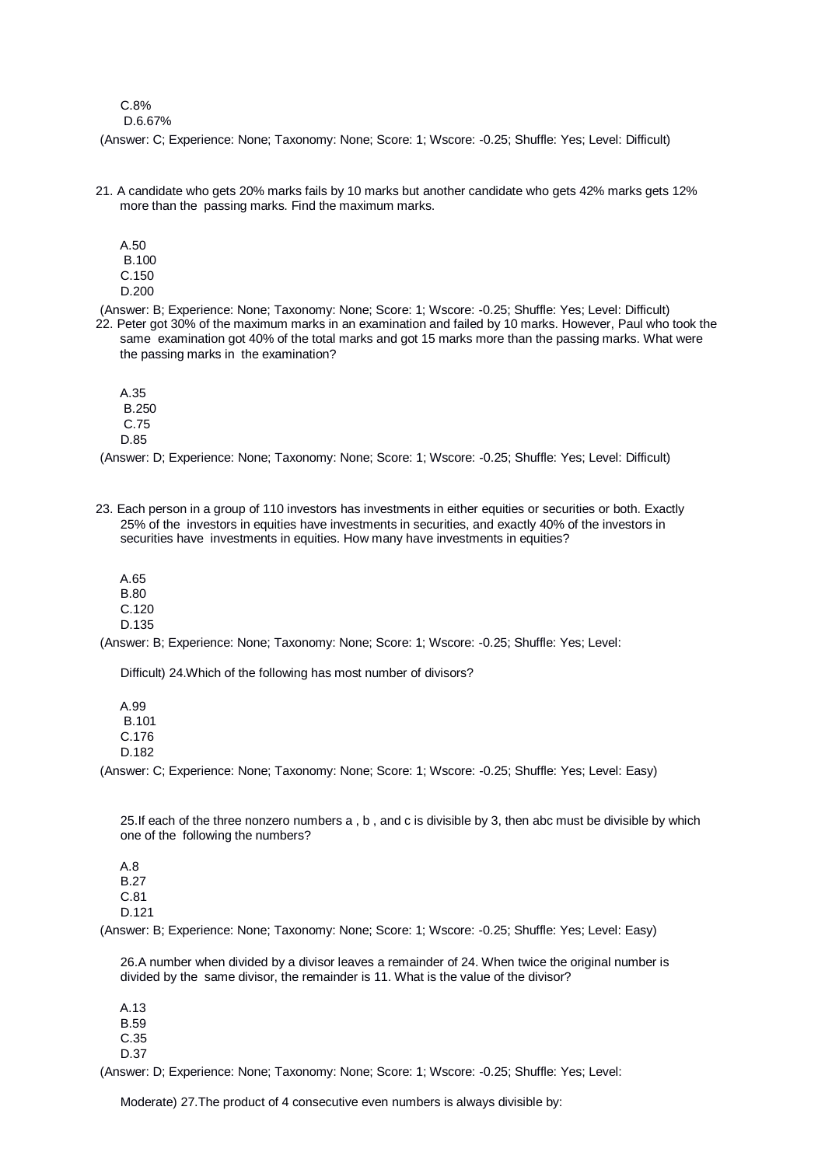C.8%

D.6.67%

(Answer: C; Experience: None; Taxonomy: None; Score: 1; Wscore: -0.25; Shuffle: Yes; Level: Difficult)

- 21. A candidate who gets 20% marks fails by 10 marks but another candidate who gets 42% marks gets 12% more than the passing marks. Find the maximum marks.
	- A.50
	- B.100

C.150

- D.200
- (Answer: B; Experience: None; Taxonomy: None; Score: 1; Wscore: -0.25; Shuffle: Yes; Level: Difficult) 22. Peter got 30% of the maximum marks in an examination and failed by 10 marks. However, Paul who took the same examination got 40% of the total marks and got 15 marks more than the passing marks. What were the passing marks in the examination?

A.35 B.250 C.75 D.85

(Answer: D; Experience: None; Taxonomy: None; Score: 1; Wscore: -0.25; Shuffle: Yes; Level: Difficult)

23. Each person in a group of 110 investors has investments in either equities or securities or both. Exactly 25% of the investors in equities have investments in securities, and exactly 40% of the investors in securities have investments in equities. How many have investments in equities?

A.65 B.80 C.120 D.135

(Answer: B; Experience: None; Taxonomy: None; Score: 1; Wscore: -0.25; Shuffle: Yes; Level:

Difficult) 24.Which of the following has most number of divisors?

A.99 B.101 C.176 D.182

(Answer: C; Experience: None; Taxonomy: None; Score: 1; Wscore: -0.25; Shuffle: Yes; Level: Easy)

25.If each of the three nonzero numbers a , b , and c is divisible by 3, then abc must be divisible by which one of the following the numbers?

A.8 B.27 C.81 D.121

(Answer: B; Experience: None; Taxonomy: None; Score: 1; Wscore: -0.25; Shuffle: Yes; Level: Easy)

26.A number when divided by a divisor leaves a remainder of 24. When twice the original number is divided by the same divisor, the remainder is 11. What is the value of the divisor?

A.13 B.59 C.35 D.37

(Answer: D; Experience: None; Taxonomy: None; Score: 1; Wscore: -0.25; Shuffle: Yes; Level:

Moderate) 27.The product of 4 consecutive even numbers is always divisible by: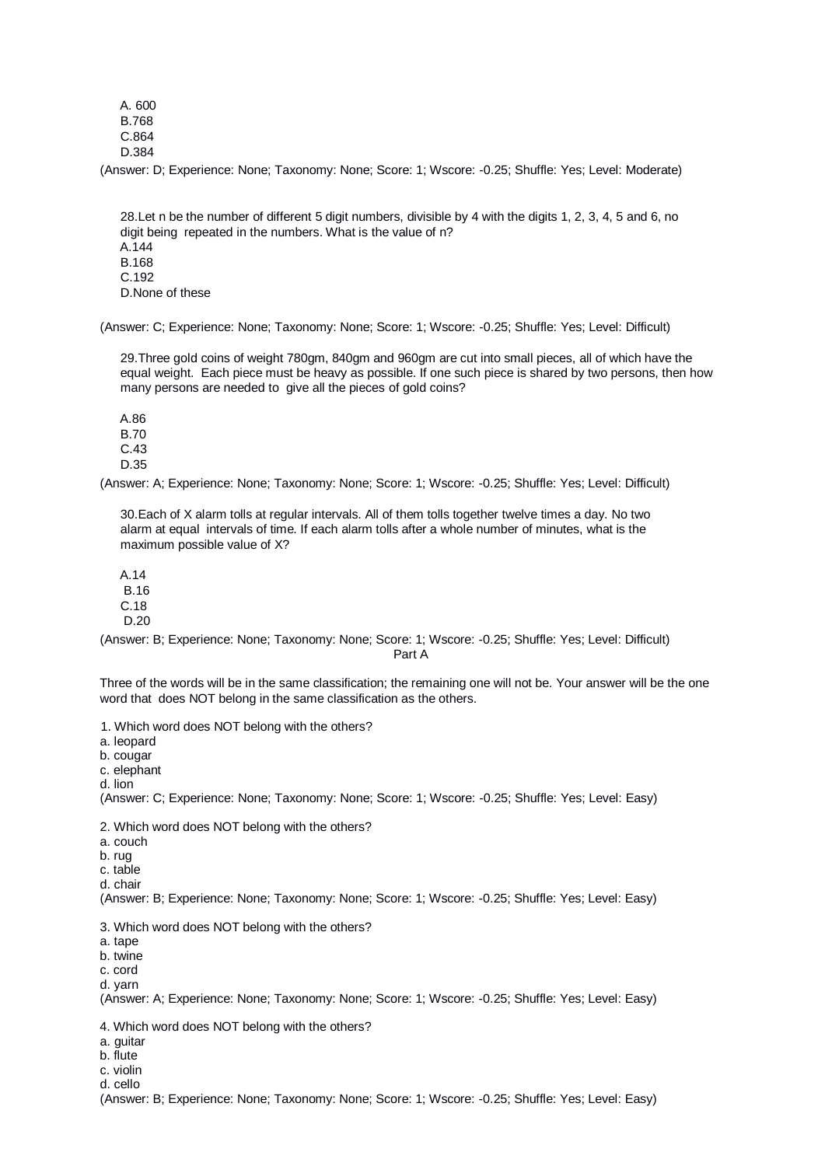A. 600 B.768 C.864 D.384

(Answer: D; Experience: None; Taxonomy: None; Score: 1; Wscore: -0.25; Shuffle: Yes; Level: Moderate)

28.Let n be the number of different 5 digit numbers, divisible by 4 with the digits 1, 2, 3, 4, 5 and 6, no digit being repeated in the numbers. What is the value of n? A.144 B.168 C.192 D.None of these

(Answer: C; Experience: None; Taxonomy: None; Score: 1; Wscore: -0.25; Shuffle: Yes; Level: Difficult)

29.Three gold coins of weight 780gm, 840gm and 960gm are cut into small pieces, all of which have the equal weight. Each piece must be heavy as possible. If one such piece is shared by two persons, then how many persons are needed to give all the pieces of gold coins?

A.86 B.70 C.43 D.35

(Answer: A; Experience: None; Taxonomy: None; Score: 1; Wscore: -0.25; Shuffle: Yes; Level: Difficult)

30.Each of X alarm tolls at regular intervals. All of them tolls together twelve times a day. No two alarm at equal intervals of time. If each alarm tolls after a whole number of minutes, what is the maximum possible value of X?

A.14 B.16 C.18

D.20

(Answer: B; Experience: None; Taxonomy: None; Score: 1; Wscore: -0.25; Shuffle: Yes; Level: Difficult) Part A

Three of the words will be in the same classification; the remaining one will not be. Your answer will be the one word that does NOT belong in the same classification as the others.

1. Which word does NOT belong with the others?

a. leopard

b. cougar

c. elephant

d. lion

(Answer: C; Experience: None; Taxonomy: None; Score: 1; Wscore: -0.25; Shuffle: Yes; Level: Easy)

2. Which word does NOT belong with the others?

a. couch

b. rug

c. table

d. chair

(Answer: B; Experience: None; Taxonomy: None; Score: 1; Wscore: -0.25; Shuffle: Yes; Level: Easy)

3. Which word does NOT belong with the others?

a. tape

b. twine

c. cord

d. yarn

(Answer: A; Experience: None; Taxonomy: None; Score: 1; Wscore: -0.25; Shuffle: Yes; Level: Easy)

4. Which word does NOT belong with the others?

a. guitar

b. flute

c. violin

d. cello

(Answer: B; Experience: None; Taxonomy: None; Score: 1; Wscore: -0.25; Shuffle: Yes; Level: Easy)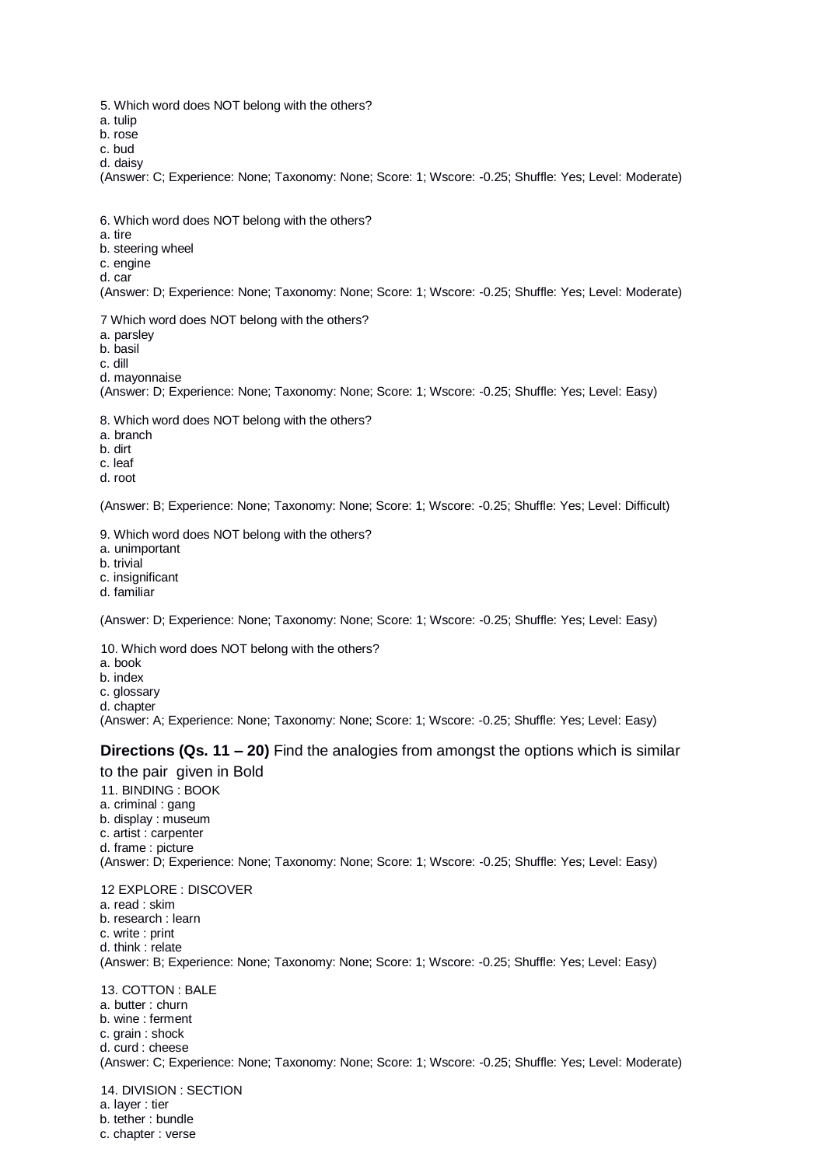5. Which word does NOT belong with the others?

a. tulip

b. rose

c. bud

d. daisy

(Answer: C; Experience: None; Taxonomy: None; Score: 1; Wscore: -0.25; Shuffle: Yes; Level: Moderate)

- 6. Which word does NOT belong with the others?
- a. tire
- b. steering wheel
- c. engine
- d. car

(Answer: D; Experience: None; Taxonomy: None; Score: 1; Wscore: -0.25; Shuffle: Yes; Level: Moderate)

7 Which word does NOT belong with the others?

a. parsley

b. basil

c. dill

d. mayonnaise

(Answer: D; Experience: None; Taxonomy: None; Score: 1; Wscore: -0.25; Shuffle: Yes; Level: Easy)

- 8. Which word does NOT belong with the others?
- a. branch
- b. dirt

c. leaf

d. root

(Answer: B; Experience: None; Taxonomy: None; Score: 1; Wscore: -0.25; Shuffle: Yes; Level: Difficult)

9. Which word does NOT belong with the others?

a. unimportant

b. trivial

c. insignificant

d. familiar

(Answer: D; Experience: None; Taxonomy: None; Score: 1; Wscore: -0.25; Shuffle: Yes; Level: Easy)

10. Which word does NOT belong with the others?

- a. book
- b. index
- c. glossary

d. chapter

(Answer: A; Experience: None; Taxonomy: None; Score: 1; Wscore: -0.25; Shuffle: Yes; Level: Easy)

# **Directions (Qs. 11 – 20)** Find the analogies from amongst the options which is similar

to the pair given in Bold 11. BINDING : BOOK a. criminal : gang b. display : museum c. artist : carpenter d. frame : picture (Answer: D; Experience: None; Taxonomy: None; Score: 1; Wscore: -0.25; Shuffle: Yes; Level: Easy) 12 EXPLORE : DISCOVER a. read : skim b. research : learn c. write : print d. think : relate (Answer: B; Experience: None; Taxonomy: None; Score: 1; Wscore: -0.25; Shuffle: Yes; Level: Easy) 13. COTTON : BALE a. butter : churn b. wine : ferment c. grain : shock d. curd : cheese (Answer: C; Experience: None; Taxonomy: None; Score: 1; Wscore: -0.25; Shuffle: Yes; Level: Moderate)

14. DIVISION : SECTION a. layer : tier b. tether : bundle c. chapter : verse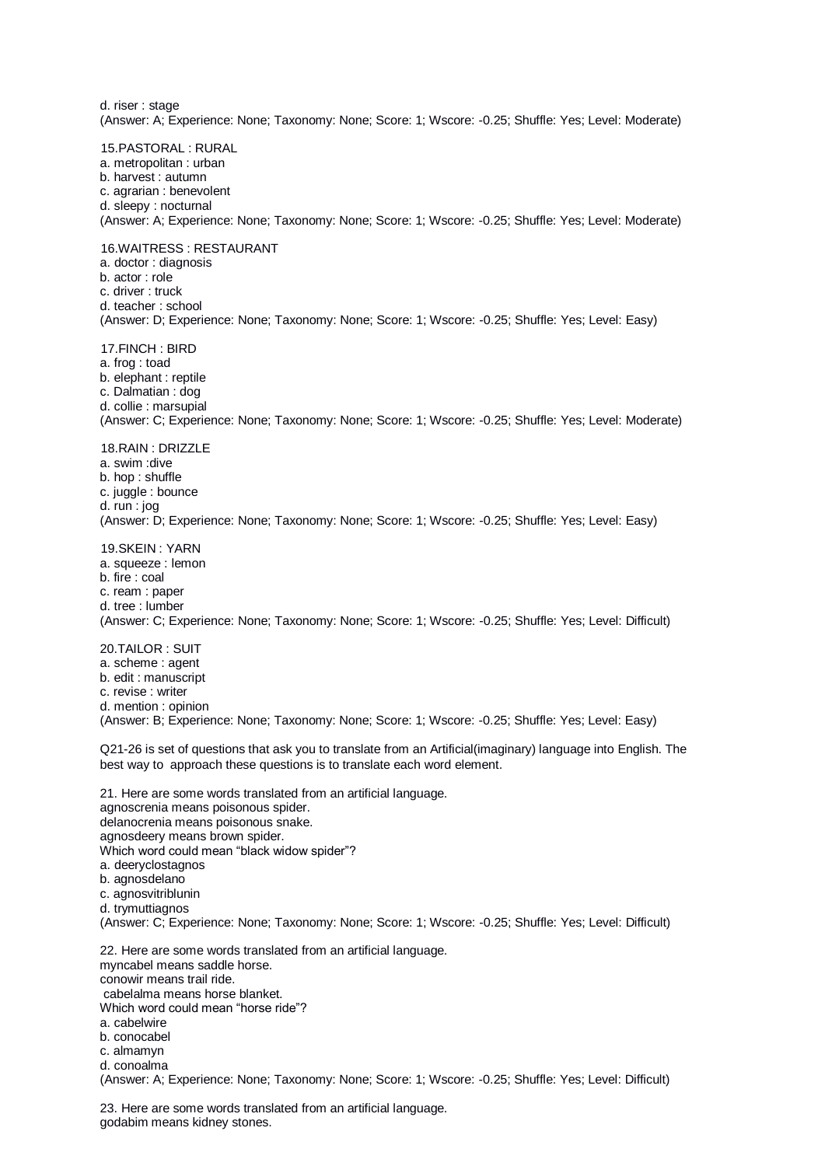d. riser : stage (Answer: A; Experience: None; Taxonomy: None; Score: 1; Wscore: -0.25; Shuffle: Yes; Level: Moderate) 15.PASTORAL : RURAL a. metropolitan : urban b. harvest : autumn c. agrarian : benevolent d. sleepy : nocturnal (Answer: A; Experience: None; Taxonomy: None; Score: 1; Wscore: -0.25; Shuffle: Yes; Level: Moderate) 16.WAITRESS : RESTAURANT a. doctor : diagnosis b. actor : role c. driver : truck d. teacher : school (Answer: D; Experience: None; Taxonomy: None; Score: 1; Wscore: -0.25; Shuffle: Yes; Level: Easy) 17.FINCH : BIRD a. frog : toad b. elephant : reptile c. Dalmatian : dog d. collie : marsupial (Answer: C; Experience: None; Taxonomy: None; Score: 1; Wscore: -0.25; Shuffle: Yes; Level: Moderate) 18.RAIN : DRIZZLE a. swim :dive b. hop : shuffle c. juggle : bounce d. run : jog (Answer: D; Experience: None; Taxonomy: None; Score: 1; Wscore: -0.25; Shuffle: Yes; Level: Easy) 19.SKEIN : YARN a. squeeze : lemon b. fire : coal c. ream : paper d. tree : lumber (Answer: C; Experience: None; Taxonomy: None; Score: 1; Wscore: -0.25; Shuffle: Yes; Level: Difficult) 20.TAILOR : SUIT a. scheme : agent b. edit : manuscript c. revise : writer d. mention : opinion (Answer: B; Experience: None; Taxonomy: None; Score: 1; Wscore: -0.25; Shuffle: Yes; Level: Easy) Q21-26 is set of questions that ask you to translate from an Artificial(imaginary) language into English. The best way to approach these questions is to translate each word element. 21. Here are some words translated from an artificial language. agnoscrenia means poisonous spider. delanocrenia means poisonous snake. agnosdeery means brown spider. Which word could mean "black widow spider"? a. deeryclostagnos b. agnosdelano c. agnosvitriblunin d. trymuttiagnos (Answer: C; Experience: None; Taxonomy: None; Score: 1; Wscore: -0.25; Shuffle: Yes; Level: Difficult) 22. Here are some words translated from an artificial language. myncabel means saddle horse. conowir means trail ride. cabelalma means horse blanket. Which word could mean "horse ride"? a. cabelwire b. conocabel c. almamyn d. conoalma (Answer: A; Experience: None; Taxonomy: None; Score: 1; Wscore: -0.25; Shuffle: Yes; Level: Difficult)

23. Here are some words translated from an artificial language. godabim means kidney stones.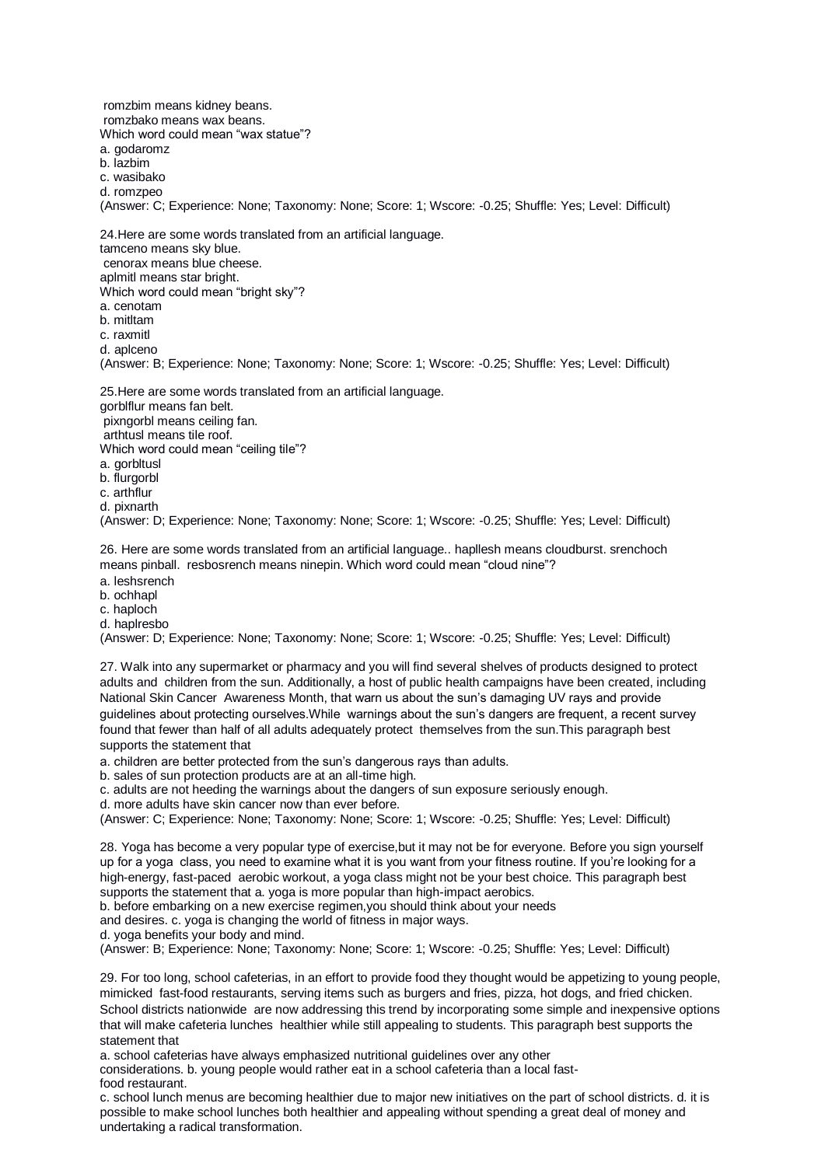romzbim means kidney beans. romzbako means wax beans. Which word could mean "wax statue"? a. godaromz b. lazbim c. wasibako d. romzpeo (Answer: C; Experience: None; Taxonomy: None; Score: 1; Wscore: -0.25; Shuffle: Yes; Level: Difficult)

24.Here are some words translated from an artificial language. tamceno means sky blue. cenorax means blue cheese. aplmitl means star bright. Which word could mean "bright sky"? a. cenotam b. mitltam c. raxmitl d. aplceno (Answer: B; Experience: None; Taxonomy: None; Score: 1; Wscore: -0.25; Shuffle: Yes; Level: Difficult) 25.Here are some words translated from an artificial language.

gorblflur means fan belt. pixngorbl means ceiling fan. arthtusl means tile roof. Which word could mean "ceiling tile"? a. gorbltusl b. flurgorbl c. arthflur d. pixnarth (Answer: D; Experience: None; Taxonomy: None; Score: 1; Wscore: -0.25; Shuffle: Yes; Level: Difficult)

26. Here are some words translated from an artificial language.. hapllesh means cloudburst. srenchoch means pinball. resbosrench means ninepin. Which word could mean "cloud nine"?

- a. leshsrench
- b. ochhapl
- c. haploch
- d. haplresbo

(Answer: D; Experience: None; Taxonomy: None; Score: 1; Wscore: -0.25; Shuffle: Yes; Level: Difficult)

27. Walk into any supermarket or pharmacy and you will find several shelves of products designed to protect adults and children from the sun. Additionally, a host of public health campaigns have been created, including National Skin Cancer Awareness Month, that warn us about the sun's damaging UV rays and provide guidelines about protecting ourselves.While warnings about the sun's dangers are frequent, a recent survey found that fewer than half of all adults adequately protect themselves from the sun.This paragraph best supports the statement that

a. children are better protected from the sun's dangerous rays than adults.

b. sales of sun protection products are at an all-time high.

c. adults are not heeding the warnings about the dangers of sun exposure seriously enough.

d. more adults have skin cancer now than ever before.

(Answer: C; Experience: None; Taxonomy: None; Score: 1; Wscore: -0.25; Shuffle: Yes; Level: Difficult)

28. Yoga has become a very popular type of exercise,but it may not be for everyone. Before you sign yourself up for a yoga class, you need to examine what it is you want from your fitness routine. If you're looking for a high-energy, fast-paced aerobic workout, a yoga class might not be your best choice. This paragraph best supports the statement that a. yoga is more popular than high-impact aerobics.

b. before embarking on a new exercise regimen,you should think about your needs

and desires. c. yoga is changing the world of fitness in major ways.

d. yoga benefits your body and mind.

(Answer: B; Experience: None; Taxonomy: None; Score: 1; Wscore: -0.25; Shuffle: Yes; Level: Difficult)

29. For too long, school cafeterias, in an effort to provide food they thought would be appetizing to young people, mimicked fast-food restaurants, serving items such as burgers and fries, pizza, hot dogs, and fried chicken. School districts nationwide are now addressing this trend by incorporating some simple and inexpensive options that will make cafeteria lunches healthier while still appealing to students. This paragraph best supports the statement that

a. school cafeterias have always emphasized nutritional guidelines over any other considerations. b. young people would rather eat in a school cafeteria than a local fastfood restaurant.

c. school lunch menus are becoming healthier due to major new initiatives on the part of school districts. d. it is possible to make school lunches both healthier and appealing without spending a great deal of money and undertaking a radical transformation.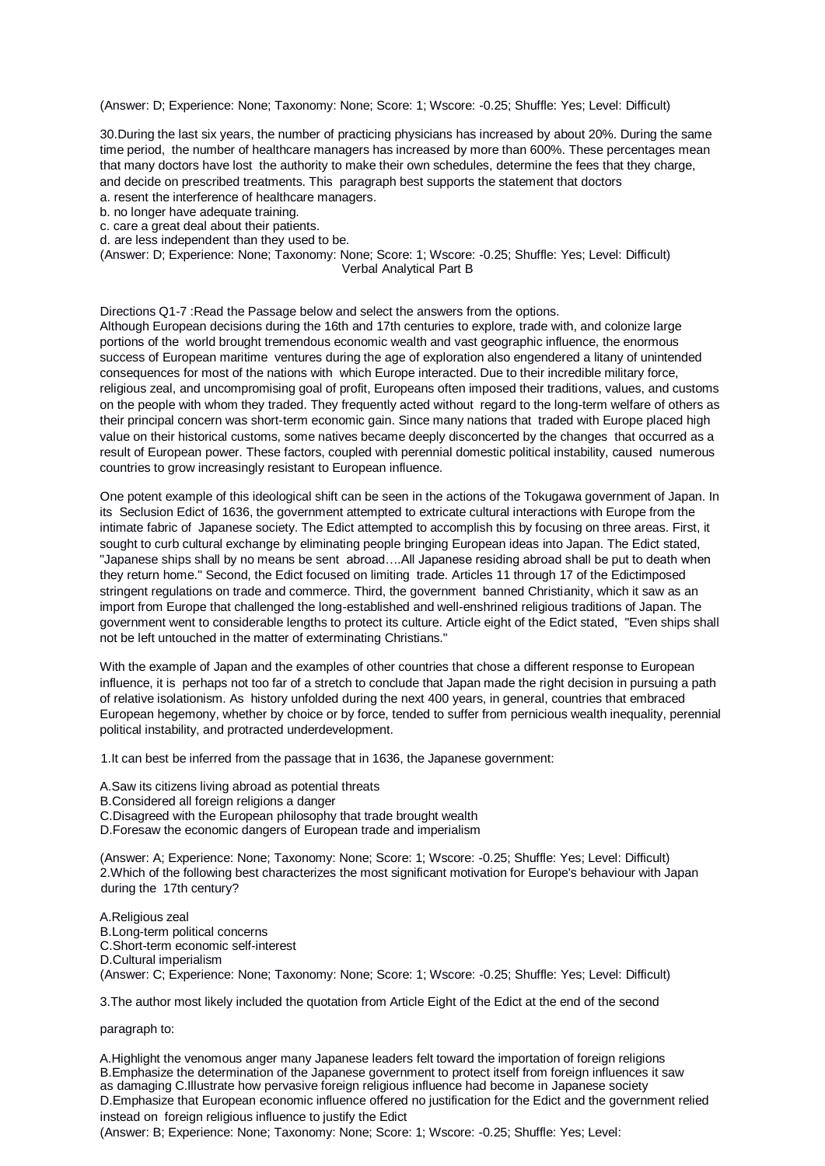(Answer: D; Experience: None; Taxonomy: None; Score: 1; Wscore: -0.25; Shuffle: Yes; Level: Difficult)

30.During the last six years, the number of practicing physicians has increased by about 20%. During the same time period, the number of healthcare managers has increased by more than 600%. These percentages mean that many doctors have lost the authority to make their own schedules, determine the fees that they charge, and decide on prescribed treatments. This paragraph best supports the statement that doctors

a. resent the interference of healthcare managers.

b. no longer have adequate training.

c. care a great deal about their patients.

d. are less independent than they used to be.

(Answer: D; Experience: None; Taxonomy: None; Score: 1; Wscore: -0.25; Shuffle: Yes; Level: Difficult) Verbal Analytical Part B

Directions Q1-7 :Read the Passage below and select the answers from the options.

Although European decisions during the 16th and 17th centuries to explore, trade with, and colonize large portions of the world brought tremendous economic wealth and vast geographic influence, the enormous success of European maritime ventures during the age of exploration also engendered a litany of unintended consequences for most of the nations with which Europe interacted. Due to their incredible military force, religious zeal, and uncompromising goal of profit, Europeans often imposed their traditions, values, and customs on the people with whom they traded. They frequently acted without regard to the long-term welfare of others as their principal concern was short-term economic gain. Since many nations that traded with Europe placed high value on their historical customs, some natives became deeply disconcerted by the changes that occurred as a result of European power. These factors, coupled with perennial domestic political instability, caused numerous countries to grow increasingly resistant to European influence.

One potent example of this ideological shift can be seen in the actions of the Tokugawa government of Japan. In its Seclusion Edict of 1636, the government attempted to extricate cultural interactions with Europe from the intimate fabric of Japanese society. The Edict attempted to accomplish this by focusing on three areas. First, it sought to curb cultural exchange by eliminating people bringing European ideas into Japan. The Edict stated, "Japanese ships shall by no means be sent abroad….All Japanese residing abroad shall be put to death when they return home." Second, the Edict focused on limiting trade. Articles 11 through 17 of the Edictimposed stringent regulations on trade and commerce. Third, the government banned Christianity, which it saw as an import from Europe that challenged the long-established and well-enshrined religious traditions of Japan. The government went to considerable lengths to protect its culture. Article eight of the Edict stated, "Even ships shall not be left untouched in the matter of exterminating Christians."

With the example of Japan and the examples of other countries that chose a different response to European influence, it is perhaps not too far of a stretch to conclude that Japan made the right decision in pursuing a path of relative isolationism. As history unfolded during the next 400 years, in general, countries that embraced European hegemony, whether by choice or by force, tended to suffer from pernicious wealth inequality, perennial political instability, and protracted underdevelopment.

1.It can best be inferred from the passage that in 1636, the Japanese government:

A.Saw its citizens living abroad as potential threats

B.Considered all foreign religions a danger

C.Disagreed with the European philosophy that trade brought wealth

D.Foresaw the economic dangers of European trade and imperialism

(Answer: A; Experience: None; Taxonomy: None; Score: 1; Wscore: -0.25; Shuffle: Yes; Level: Difficult) 2.Which of the following best characterizes the most significant motivation for Europe's behaviour with Japan during the 17th century?

A.Religious zeal B.Long-term political concerns C.Short-term economic self-interest D.Cultural imperialism (Answer: C; Experience: None; Taxonomy: None; Score: 1; Wscore: -0.25; Shuffle: Yes; Level: Difficult)

3.The author most likely included the quotation from Article Eight of the Edict at the end of the second

paragraph to:

A.Highlight the venomous anger many Japanese leaders felt toward the importation of foreign religions B.Emphasize the determination of the Japanese government to protect itself from foreign influences it saw as damaging C.Illustrate how pervasive foreign religious influence had become in Japanese society D.Emphasize that European economic influence offered no justification for the Edict and the government relied instead on foreign religious influence to justify the Edict

(Answer: B; Experience: None; Taxonomy: None; Score: 1; Wscore: -0.25; Shuffle: Yes; Level: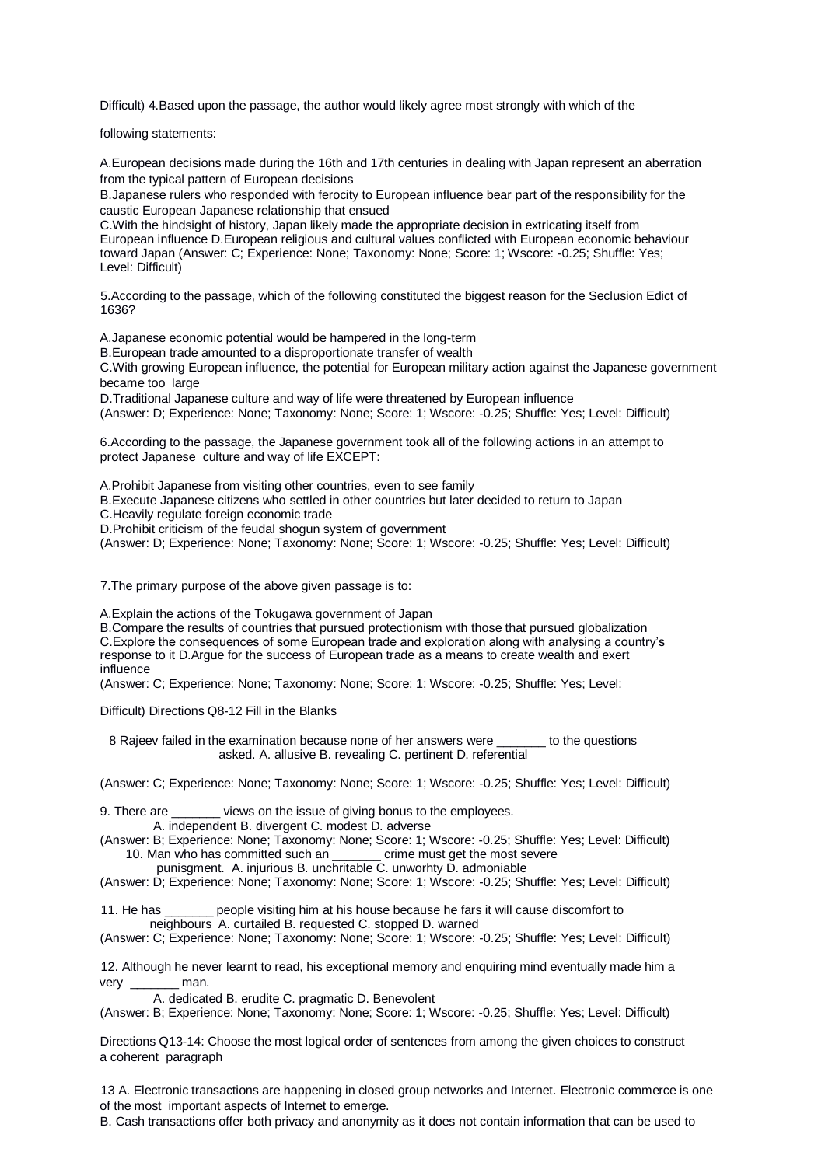Difficult) 4.Based upon the passage, the author would likely agree most strongly with which of the

following statements:

A.European decisions made during the 16th and 17th centuries in dealing with Japan represent an aberration from the typical pattern of European decisions

B.Japanese rulers who responded with ferocity to European influence bear part of the responsibility for the caustic European Japanese relationship that ensued

C.With the hindsight of history, Japan likely made the appropriate decision in extricating itself from European influence D.European religious and cultural values conflicted with European economic behaviour toward Japan (Answer: C; Experience: None; Taxonomy: None; Score: 1; Wscore: -0.25; Shuffle: Yes; Level: Difficult)

5.According to the passage, which of the following constituted the biggest reason for the Seclusion Edict of 1636?

A.Japanese economic potential would be hampered in the long-term

B.European trade amounted to a disproportionate transfer of wealth

C.With growing European influence, the potential for European military action against the Japanese government became too large

D.Traditional Japanese culture and way of life were threatened by European influence

(Answer: D; Experience: None; Taxonomy: None; Score: 1; Wscore: -0.25; Shuffle: Yes; Level: Difficult)

6.According to the passage, the Japanese government took all of the following actions in an attempt to protect Japanese culture and way of life EXCEPT:

A.Prohibit Japanese from visiting other countries, even to see family

B.Execute Japanese citizens who settled in other countries but later decided to return to Japan

C.Heavily regulate foreign economic trade

D.Prohibit criticism of the feudal shogun system of government

(Answer: D; Experience: None; Taxonomy: None; Score: 1; Wscore: -0.25; Shuffle: Yes; Level: Difficult)

7.The primary purpose of the above given passage is to:

A.Explain the actions of the Tokugawa government of Japan

B.Compare the results of countries that pursued protectionism with those that pursued globalization C.Explore the consequences of some European trade and exploration along with analysing a country's response to it D.Argue for the success of European trade as a means to create wealth and exert influence

(Answer: C; Experience: None; Taxonomy: None; Score: 1; Wscore: -0.25; Shuffle: Yes; Level:

Difficult) Directions Q8-12 Fill in the Blanks

8 Rajeev failed in the examination because none of her answers were \_\_\_\_\_\_\_ to the questions asked. A. allusive B. revealing C. pertinent D. referential

(Answer: C; Experience: None; Taxonomy: None; Score: 1; Wscore: -0.25; Shuffle: Yes; Level: Difficult)

9. There are **zeta in the issue of giving bonus to the employees.** A. independent B. divergent C. modest D. adverse

(Answer: B; Experience: None; Taxonomy: None; Score: 1; Wscore: -0.25; Shuffle: Yes; Level: Difficult) 10. Man who has committed such an \_\_\_\_\_\_\_ crime must get the most severe

punisgment. A. injurious B. unchritable C. unworhty D. admoniable

(Answer: D; Experience: None; Taxonomy: None; Score: 1; Wscore: -0.25; Shuffle: Yes; Level: Difficult)

11. He has \_\_\_\_\_\_\_ people visiting him at his house because he fars it will cause discomfort to neighbours A. curtailed B. requested C. stopped D. warned

(Answer: C; Experience: None; Taxonomy: None; Score: 1; Wscore: -0.25; Shuffle: Yes; Level: Difficult)

12. Although he never learnt to read, his exceptional memory and enquiring mind eventually made him a very man.

A. dedicated B. erudite C. pragmatic D. Benevolent

(Answer: B; Experience: None; Taxonomy: None; Score: 1; Wscore: -0.25; Shuffle: Yes; Level: Difficult)

Directions Q13-14: Choose the most logical order of sentences from among the given choices to construct a coherent paragraph

13 A. Electronic transactions are happening in closed group networks and Internet. Electronic commerce is one of the most important aspects of Internet to emerge.

B. Cash transactions offer both privacy and anonymity as it does not contain information that can be used to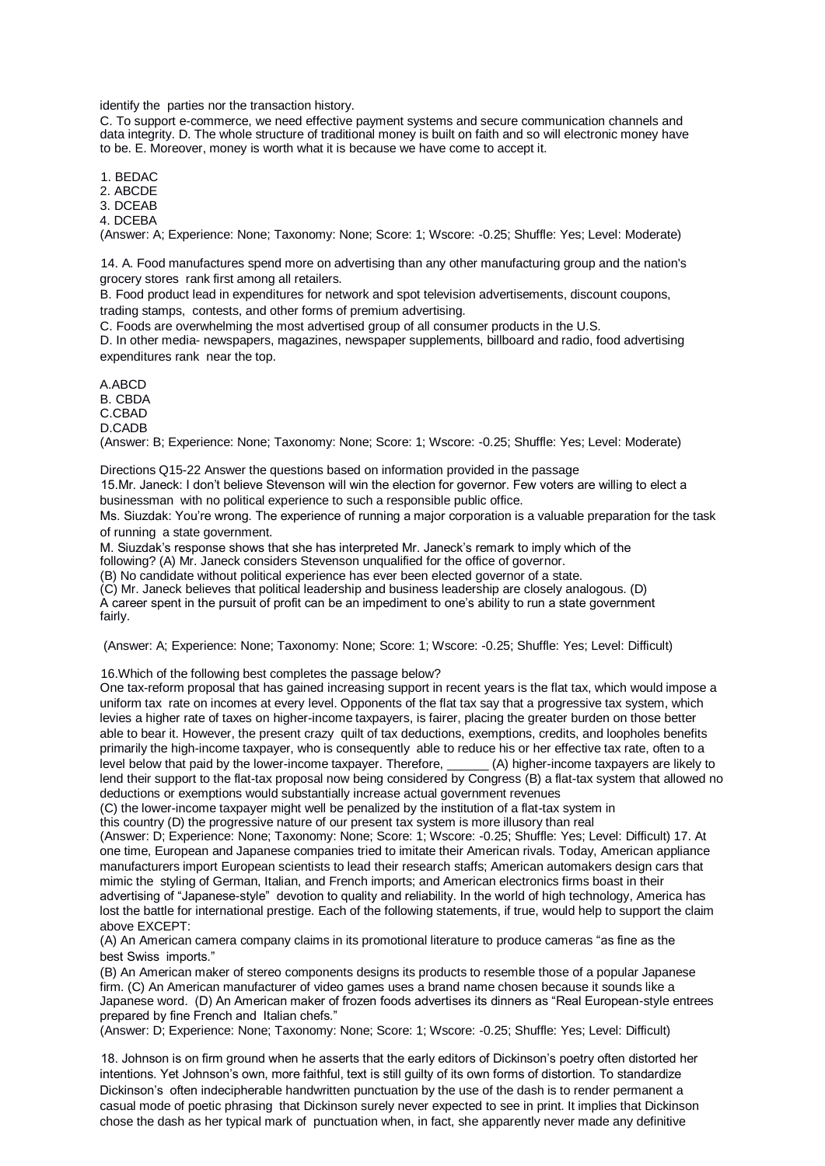identify the parties nor the transaction history.

C. To support e-commerce, we need effective payment systems and secure communication channels and data integrity. D. The whole structure of traditional money is built on faith and so will electronic money have to be. E. Moreover, money is worth what it is because we have come to accept it.

1. BEDAC

2. ABCDE

- 3. DCEAB
- 4. DCEBA

(Answer: A; Experience: None; Taxonomy: None; Score: 1; Wscore: -0.25; Shuffle: Yes; Level: Moderate)

14. A. Food manufactures spend more on advertising than any other manufacturing group and the nation's grocery stores rank first among all retailers.

B. Food product lead in expenditures for network and spot television advertisements, discount coupons, trading stamps, contests, and other forms of premium advertising.

C. Foods are overwhelming the most advertised group of all consumer products in the U.S.

D. In other media- newspapers, magazines, newspaper supplements, billboard and radio, food advertising expenditures rank near the top.

A.ABCD B. CBDA C.CBAD

D.CADB

(Answer: B; Experience: None; Taxonomy: None; Score: 1; Wscore: -0.25; Shuffle: Yes; Level: Moderate)

Directions Q15-22 Answer the questions based on information provided in the passage

15.Mr. Janeck: I don't believe Stevenson will win the election for governor. Few voters are willing to elect a businessman with no political experience to such a responsible public office.

Ms. Siuzdak: You're wrong. The experience of running a major corporation is a valuable preparation for the task of running a state government.

M. Siuzdak's response shows that she has interpreted Mr. Janeck's remark to imply which of the following? (A) Mr. Janeck considers Stevenson unqualified for the office of governor.

(B) No candidate without political experience has ever been elected governor of a state.

(C) Mr. Janeck believes that political leadership and business leadership are closely analogous. (D) A career spent in the pursuit of profit can be an impediment to one's ability to run a state government fairly.

(Answer: A; Experience: None; Taxonomy: None; Score: 1; Wscore: -0.25; Shuffle: Yes; Level: Difficult)

16.Which of the following best completes the passage below?

One tax-reform proposal that has gained increasing support in recent years is the flat tax, which would impose a uniform tax rate on incomes at every level. Opponents of the flat tax say that a progressive tax system, which levies a higher rate of taxes on higher-income taxpayers, is fairer, placing the greater burden on those better able to bear it. However, the present crazy quilt of tax deductions, exemptions, credits, and loopholes benefits primarily the high-income taxpayer, who is consequently able to reduce his or her effective tax rate, often to a level below that paid by the lower-income taxpayer. Therefore, \_\_\_\_\_\_ (A) higher-income taxpayers are likely to lend their support to the flat-tax proposal now being considered by Congress (B) a flat-tax system that allowed no deductions or exemptions would substantially increase actual government revenues

(C) the lower-income taxpayer might well be penalized by the institution of a flat-tax system in

this country (D) the progressive nature of our present tax system is more illusory than real

(Answer: D; Experience: None; Taxonomy: None; Score: 1; Wscore: -0.25; Shuffle: Yes; Level: Difficult) 17. At one time, European and Japanese companies tried to imitate their American rivals. Today, American appliance manufacturers import European scientists to lead their research staffs; American automakers design cars that mimic the styling of German, Italian, and French imports; and American electronics firms boast in their advertising of "Japanese-style" devotion to quality and reliability. In the world of high technology, America has lost the battle for international prestige. Each of the following statements, if true, would help to support the claim above EXCEPT:

(A) An American camera company claims in its promotional literature to produce cameras "as fine as the best Swiss imports."

(B) An American maker of stereo components designs its products to resemble those of a popular Japanese firm. (C) An American manufacturer of video games uses a brand name chosen because it sounds like a Japanese word. (D) An American maker of frozen foods advertises its dinners as "Real European-style entrees prepared by fine French and Italian chefs."

(Answer: D; Experience: None; Taxonomy: None; Score: 1; Wscore: -0.25; Shuffle: Yes; Level: Difficult)

18. Johnson is on firm ground when he asserts that the early editors of Dickinson's poetry often distorted her intentions. Yet Johnson's own, more faithful, text is still guilty of its own forms of distortion. To standardize Dickinson's often indecipherable handwritten punctuation by the use of the dash is to render permanent a casual mode of poetic phrasing that Dickinson surely never expected to see in print. It implies that Dickinson chose the dash as her typical mark of punctuation when, in fact, she apparently never made any definitive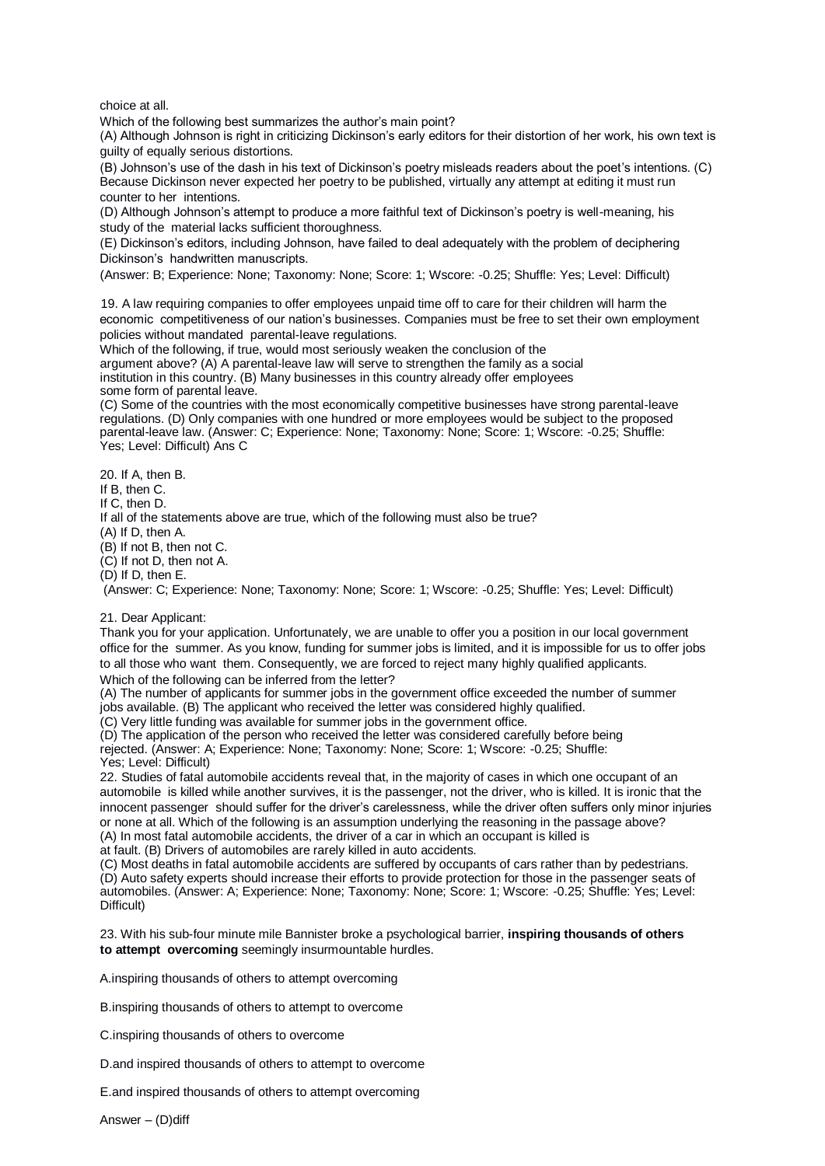choice at all.

Which of the following best summarizes the author's main point?

(A) Although Johnson is right in criticizing Dickinson's early editors for their distortion of her work, his own text is guilty of equally serious distortions.

(B) Johnson's use of the dash in his text of Dickinson's poetry misleads readers about the poet's intentions. (C) Because Dickinson never expected her poetry to be published, virtually any attempt at editing it must run counter to her intentions.

(D) Although Johnson's attempt to produce a more faithful text of Dickinson's poetry is well-meaning, his study of the material lacks sufficient thoroughness.

(E) Dickinson's editors, including Johnson, have failed to deal adequately with the problem of deciphering Dickinson's handwritten manuscripts.

(Answer: B; Experience: None; Taxonomy: None; Score: 1; Wscore: -0.25; Shuffle: Yes; Level: Difficult)

19. A law requiring companies to offer employees unpaid time off to care for their children will harm the economic competitiveness of our nation's businesses. Companies must be free to set their own employment policies without mandated parental-leave regulations.

Which of the following, if true, would most seriously weaken the conclusion of the argument above? (A) A parental-leave law will serve to strengthen the family as a social institution in this country. (B) Many businesses in this country already offer employees some form of parental leave.

(C) Some of the countries with the most economically competitive businesses have strong parental-leave regulations. (D) Only companies with one hundred or more employees would be subject to the proposed parental-leave law. (Answer: C; Experience: None; Taxonomy: None; Score: 1; Wscore: -0.25; Shuffle: Yes; Level: Difficult) Ans C

20. If A, then B.

If B, then C.

If C, then D.

If all of the statements above are true, which of the following must also be true?

(A) If D, then A.

(B) If not B, then not C.

(C) If not D, then not A.

(D) If D, then E.

(Answer: C; Experience: None; Taxonomy: None; Score: 1; Wscore: -0.25; Shuffle: Yes; Level: Difficult)

#### 21. Dear Applicant:

Thank you for your application. Unfortunately, we are unable to offer you a position in our local government office for the summer. As you know, funding for summer jobs is limited, and it is impossible for us to offer jobs to all those who want them. Consequently, we are forced to reject many highly qualified applicants. Which of the following can be inferred from the letter?

(A) The number of applicants for summer jobs in the government office exceeded the number of summer jobs available. (B) The applicant who received the letter was considered highly qualified.

(C) Very little funding was available for summer jobs in the government office.

(D) The application of the person who received the letter was considered carefully before being rejected. (Answer: A; Experience: None; Taxonomy: None; Score: 1; Wscore: -0.25; Shuffle: Yes; Level: Difficult)

22. Studies of fatal automobile accidents reveal that, in the majority of cases in which one occupant of an automobile is killed while another survives, it is the passenger, not the driver, who is killed. It is ironic that the innocent passenger should suffer for the driver's carelessness, while the driver often suffers only minor injuries or none at all. Which of the following is an assumption underlying the reasoning in the passage above? (A) In most fatal automobile accidents, the driver of a car in which an occupant is killed is

at fault. (B) Drivers of automobiles are rarely killed in auto accidents.

(C) Most deaths in fatal automobile accidents are suffered by occupants of cars rather than by pedestrians. (D) Auto safety experts should increase their efforts to provide protection for those in the passenger seats of automobiles. (Answer: A; Experience: None; Taxonomy: None; Score: 1; Wscore: -0.25; Shuffle: Yes; Level: Difficult)

23. With his sub-four minute mile Bannister broke a psychological barrier, **inspiring thousands of others to attempt overcoming** seemingly insurmountable hurdles.

A.inspiring thousands of others to attempt overcoming

B.inspiring thousands of others to attempt to overcome

C.inspiring thousands of others to overcome

D.and inspired thousands of others to attempt to overcome

E.and inspired thousands of others to attempt overcoming